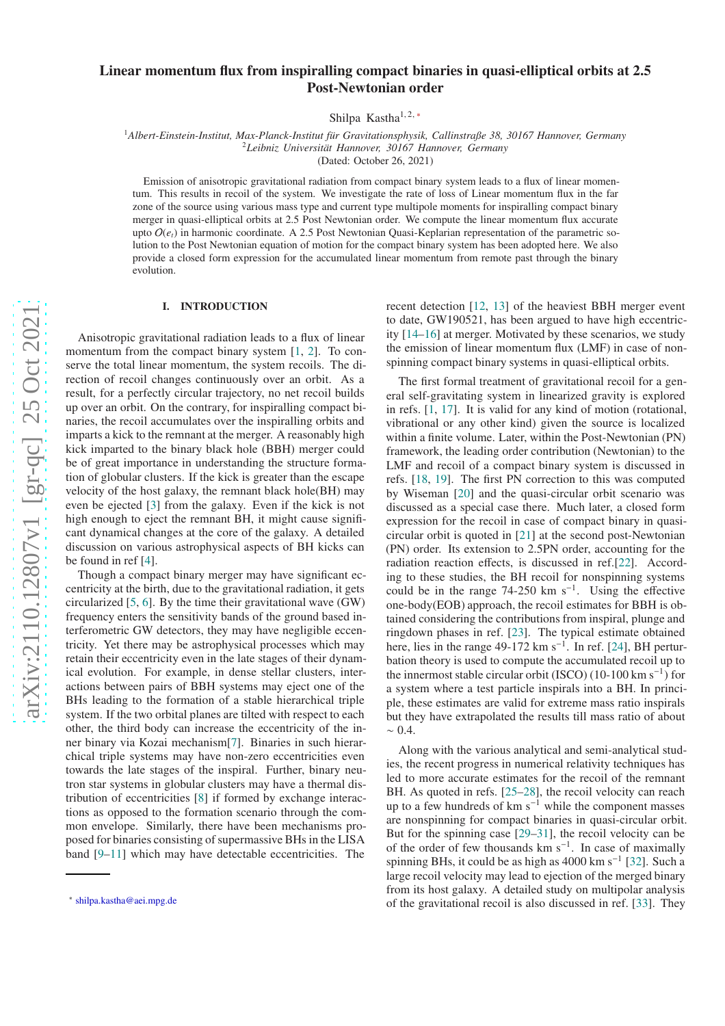# Linear momentum flux from inspiralling compact binaries in quasi-elliptical orbits at 2.5 Post-Newtonian order

Shilpa Kastha<sup>1, 2,\*</sup>

<sup>1</sup>Albert-Einstein-Institut, Max-Planck-Institut für Gravitationsphysik, Callinstraße 38, 30167 Hannover, Germany <sup>2</sup>Leibniz Universität Hannover, 30167 Hannover, Germany

(Dated: October 26, 2021)

Emission of anisotropic gravitational radiation from compact binary system leads to a flux of linear momentum. This results in recoil of the system. We investigate the rate of loss of Linear momentum flux in the far zone of the source using various mass type and current type multipole moments for inspiralling compact binary merger in quasi-elliptical orbits at 2.5 Post Newtonian order. We compute the linear momentum flux accurate upto  $O(e_t)$  in harmonic coordinate. A 2.5 Post Newtonian Quasi-Keplarian representation of the parametric solution to the Post Newtonian equation of motion for the compact binary system has been adopted here. We also provide a closed form expression for the accumulated linear momentum from remote past through the binary evolution.

### I. INTRODUCTION

Anisotropic gravitational radiation leads to a flux of linea r momentum from the compact binary system [[1](#page-17-0), [2\]](#page-17-1). To conserve the total linear momentum, the system recoils. The direction of recoil changes continuously over an orbit. As a result, for a perfectly circular trajectory, no net recoil builds up over an orbit. On the contrary, for inspiralling compact binaries, the recoil accumulates over the inspiralling orbits and imparts a kick to the remnant at the merger. A reasonably high kick imparted to the binary black hole (BBH) merger could be of great importance in understanding the structure formation of globular clusters. If the kick is greater than the escape velocity of the host galaxy, the remnant black hole(BH) may even be ejected [ [3](#page-17-2)] from the galaxy. Even if the kick is not high enough to eject the remnant BH, it might cause significant dynamical changes at the core of the galaxy. A detailed discussion on various astrophysical aspects of BH kicks can be found in ref [ [4\]](#page-17-3).

Though a compact binary merger may have significant eccentricity at the birth, due to the gravitational radiation, it gets circularized [ [5](#page-17-4) , [6\]](#page-17-5). By the time their gravitational wave (GW) frequency enters the sensitivity bands of the ground based interferometric GW detectors, they may have negligible eccentricity. Yet there may be astrophysical processes which may retain their eccentricity even in the late stages of their dynamical evolution. For example, in dense stellar clusters, interactions between pairs of BBH systems may eject one of the BHs leading to the formation of a stable hierarchical triple system. If the two orbital planes are tilted with respect to each other, the third body can increase the eccentricity of the in ner binary via Kozai mechanism[ [7\]](#page-17-6). Binaries in such hierarchical triple systems may have non-zero eccentricities even towards the late stages of the inspiral. Further, binary neu tron star systems in globular clusters may have a thermal dis tribution of eccentricities [ [8\]](#page-17-7) if formed by exchange interactions as opposed to the formation scenario through the common envelope. Similarly, there have been mechanisms proposed for binaries consisting of supermassive BHs in the LISA band [ [9](#page-17-8) [–11](#page-17-9)] which may have detectable eccentricities. The

recent detection [\[12](#page-17-10) , [13\]](#page-17-11) of the heaviest BBH merger event to date, GW190521, has been argued to have high eccentricity [\[14](#page-17-12)[–16](#page-17-13)] at merger. Motivated by these scenarios, we study the emission of linear momentum flux (LMF) in case of nonspinning compact binary systems in quasi-elliptical orbits.

The first formal treatment of gravitational recoil for a general self-gravitating system in linearized gravity is explored in refs. [ [1](#page-17-0) , [17](#page-17-14)]. It is valid for any kind of motion (rotational, vibrational or any other kind) given the source is localized within a finite volume. Later, within the Post-Newtonian (PN ) framework, the leading order contribution (Newtonian) to the LMF and recoil of a compact binary system is discussed in refs. [\[18](#page-17-15) , [19\]](#page-17-16). The first PN correction to this was computed by Wiseman [\[20\]](#page-17-17) and the quasi-circular orbit scenario was discussed as a special case there. Much later, a closed form expression for the recoil in case of compact binary in quasicircular orbit is quoted in [\[21](#page-17-18)] at the second post-Newtonian (PN) order. Its extension to 2.5PN order, accounting for the radiation reaction e ffects, is discussed in ref.[\[22\]](#page-17-19). According to these studies, the BH recoil for nonspinning systems could be in the range  $74-250 \text{ km s}^{-1}$ . Using the effective one-body(EOB) approach, the recoil estimates for BBH is obtained considering the contributions from inspiral, plunge and ringdown phases in ref. [\[23\]](#page-17-20). The typical estimate obtained here, lies in the range  $49-172 \text{ km s}^{-1}$ . In ref. [\[24\]](#page-17-21), BH perturbation theory is used to compute the accumulated recoil up to the innermost stable circular orbit (ISCO) (10-100 km  $s^{-1}$ ) for a system where a test particle inspirals into a BH. In principle, these estimates are valid for extreme mass ratio inspirals but they have extrapolated the results till mass ratio of about  $~\sim 0.4$ 

Along with the various analytical and semi-analytical stud ies, the recent progress in numerical relativity techniques has led to more accurate estimates for the recoil of the remnant BH. As quoted in refs. [\[25](#page-17-22)[–28\]](#page-18-0), the recoil velocity can reach up to a few hundreds of  $km s<sup>-1</sup>$  while the component masses are nonspinning for compact binaries in quasi-circular orbit. But for the spinning case [\[29](#page-18-1) [–31\]](#page-18-2), the recoil velocity can be of the order of few thousands  $km s^{-1}$ . In case of maximally spinning BHs, it could be as high as  $4000 \text{ km s}^{-1}$  [\[32\]](#page-18-3). Such a large recoil velocity may lead to ejection of the merged binary from its host galaxy. A detailed study on multipolar analysi s of the gravitational recoil is also discussed in ref. [\[33\]](#page-18-4). They

<span id="page-0-0"></span><sup>∗</sup> [shilpa.kastha@aei.mpg.de](mailto:shilpa.kastha@aei.mpg.de)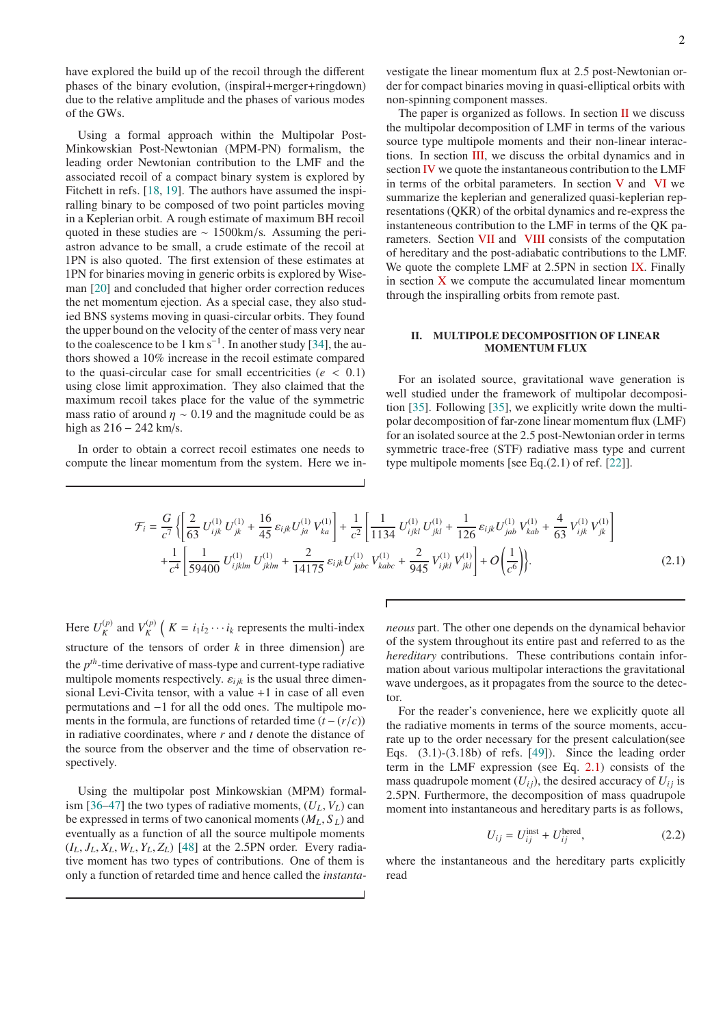have explored the build up of the recoil through the different phases of the binary evolution, (inspiral+merger+ringdown) due to the relative amplitude and the phases of various modes of the GWs.

Using a formal approach within the Multipolar Post-Minkowskian Post-Newtonian (MPM-PN) formalism, the leading order Newtonian contribution to the LMF and the associated recoil of a compact binary system is explored by Fitchett in refs. [\[18,](#page-17-15) [19\]](#page-17-16). The authors have assumed the inspiralling binary to be composed of two point particles moving in a Keplerian orbit. A rough estimate of maximum BH recoil quoted in these studies are ∼ 1500km/s. Assuming the periastron advance to be small, a crude estimate of the recoil at 1PN is also quoted. The first extension of these estimates at 1PN for binaries moving in generic orbits is explored by Wiseman [\[20\]](#page-17-17) and concluded that higher order correction reduces the net momentum ejection. As a special case, they also studied BNS systems moving in quasi-circular orbits. They found the upper bound on the velocity of the center of mass very near to the coalescence to be 1 km s<sup>-1</sup>. In another study [\[34](#page-18-5)], the authors showed a 10% increase in the recoil estimate compared to the quasi-circular case for small eccentricities  $(e < 0.1)$ using close limit approximation. They also claimed that the maximum recoil takes place for the value of the symmetric mass ratio of around  $\eta \sim 0.19$  and the magnitude could be as high as 216 − 242 km/s.

In order to obtain a correct recoil estimates one needs to compute the linear momentum from the system. Here we investigate the linear momentum flux at 2.5 post-Newtonian order for compact binaries moving in quasi-elliptical orbits with non-spinning component masses.

The paper is organized as follows. In section  $II$  we discuss the multipolar decomposition of LMF in terms of the various source type multipole moments and their non-linear interactions. In section [III,](#page-5-0) we discuss the orbital dynamics and in section [IV](#page-5-1) we quote the instantaneous contribution to the LMF in terms of the orbital parameters. In section  $V$  and  $VI$  we summarize the keplerian and generalized quasi-keplerian representations (QKR) of the orbital dynamics and re-express the instanteneous contribution to the LMF in terms of the QK parameters. Section [VII](#page-9-0) and [VIII](#page-11-0) consists of the computation of hereditary and the post-adiabatic contributions to the LMF. We quote the complete LMF at 2.5PN in section [IX.](#page-12-0) Finally in section  $X$  we compute the accumulated linear momentum through the inspiralling orbits from remote past.

### <span id="page-1-0"></span>II. MULTIPOLE DECOMPOSITION OF LINEAR MOMENTUM FLUX

For an isolated source, gravitational wave generation is well studied under the framework of multipolar decomposition [\[35\]](#page-18-6). Following [\[35](#page-18-6)], we explicitly write down the multipolar decomposition of far-zone linear momentum flux (LMF) for an isolated source at the 2.5 post-Newtonian order in terms symmetric trace-free (STF) radiative mass type and current type multipole moments [see Eq.(2.1) of ref. [\[22](#page-17-19)]].

<span id="page-1-1"></span>
$$
\mathcal{F}_{i} = \frac{G}{c^{7}} \left\{ \left[ \frac{2}{63} U_{ijk}^{(1)} U_{jk}^{(1)} + \frac{16}{45} \varepsilon_{ijk} U_{ja}^{(1)} V_{ka}^{(1)} \right] + \frac{1}{c^{2}} \left[ \frac{1}{1134} U_{ijkl}^{(1)} U_{jkl}^{(1)} + \frac{1}{126} \varepsilon_{ijk} U_{jab}^{(1)} V_{kab}^{(1)} + \frac{4}{63} V_{ijk}^{(1)} V_{jk}^{(1)} \right] + \frac{1}{c^{4}} \left[ \frac{1}{59400} U_{ijklm}^{(1)} U_{jklm}^{(1)} + \frac{2}{14175} \varepsilon_{ijk} U_{jabc}^{(1)} V_{kabc}^{(1)} + \frac{2}{945} V_{ijkl}^{(1)} V_{jkl}^{(1)} \right] + O\left( \frac{1}{c^{6}} \right) \right\}.
$$
\n(2.1)

Here  $U_K^{(p)}$  $\binom{p}{K}$  and  $V_K^{(p)}$  $\binom{p}{K}$  (*K* = *i*<sub>1</sub>*i*<sub>2</sub> · · · *i*<sub>*k*</sub> represents the multi-index structure of the tensors of order  $k$  in three dimension) are the *p th*-time derivative of mass-type and current-type radiative multipole moments respectively.  $\varepsilon_{ijk}$  is the usual three dimensional Levi-Civita tensor, with a value +1 in case of all even permutations and −1 for all the odd ones. The multipole moments in the formula, are functions of retarded time  $(t - (r/c))$ in radiative coordinates, where *r* and *t* denote the distance of the source from the observer and the time of observation respectively.

Using the multipolar post Minkowskian (MPM) formal-ism [\[36](#page-18-7)[–47](#page-18-8)] the two types of radiative moments,  $(U_L, V_L)$  can be expressed in terms of two canonical moments (*ML*, *S <sup>L</sup>*) and eventually as a function of all the source multipole moments  $(I_L, J_L, X_L, W_L, Y_L, Z_L)$  [\[48\]](#page-18-9) at the 2.5PN order. Every radiative moment has two types of contributions. One of them is only a function of retarded time and hence called the *instanta-*

*neous* part. The other one depends on the dynamical behavior of the system throughout its entire past and referred to as the *hereditary* contributions. These contributions contain information about various multipolar interactions the gravitational wave undergoes, as it propagates from the source to the detector.

For the reader's convenience, here we explicitly quote all the radiative moments in terms of the source moments, accurate up to the order necessary for the present calculation(see Eqs.  $(3.1)-(3.18b)$  of refs.  $[49]$ ). Since the leading order term in the LMF expression (see Eq. [2.1\)](#page-1-1) consists of the mass quadrupole moment  $(U_{ii})$ , the desired accuracy of  $U_{ii}$  is 2.5PN. Furthermore, the decomposition of mass quadrupole moment into instantaneous and hereditary parts is as follows,

<span id="page-1-2"></span>
$$
U_{ij} = U_{ij}^{\text{inst}} + U_{ij}^{\text{hered}},\tag{2.2}
$$

where the instantaneous and the hereditary parts explicitly read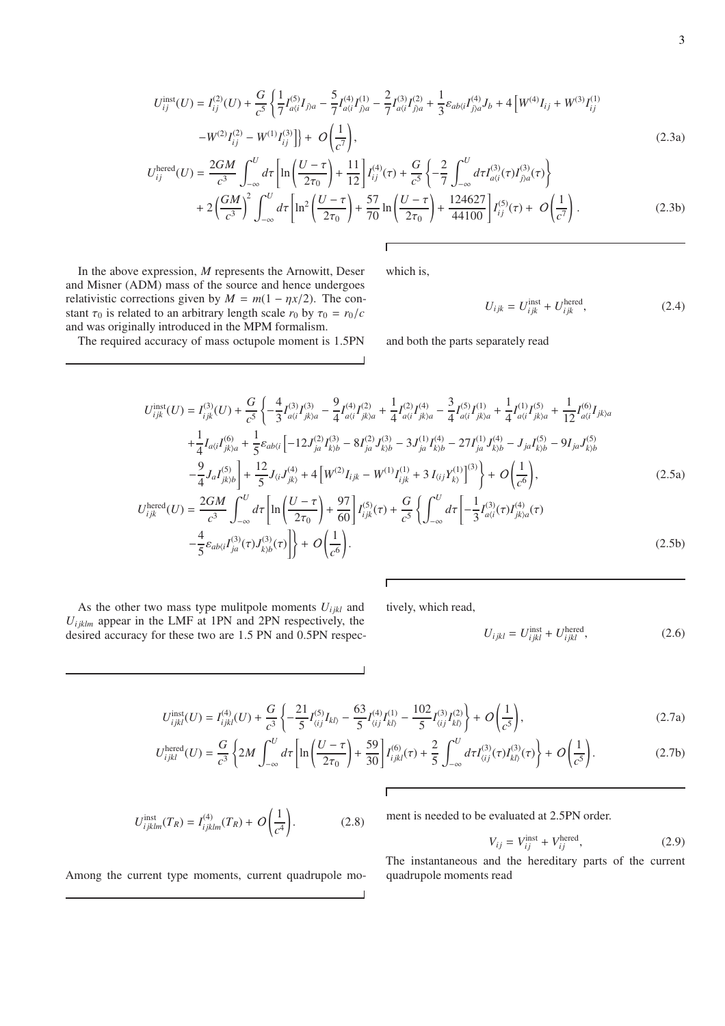$$
U_{ij}^{\text{inst}}(U) = I_{ij}^{(2)}(U) + \frac{G}{c^5} \left\{ \frac{1}{7} I_{a(i}^{(5)} I_{j)a} - \frac{5}{7} I_{a(i}^{(4)} I_{j)a}^{(1)} - \frac{2}{7} I_{a(i}^{(3)} I_{j)a}^{(2)} + \frac{1}{3} \varepsilon_{ab\langle i} I_{j)a}^{(4)} J_b + 4 \left[ W^{(4)} I_{ij} + W^{(3)} I_{ij}^{(1)} - W^{(2)} I_{ij}^{(2)} - W^{(1)} I_{ij}^{(3)} \right] \right\} + O\left(\frac{1}{c^7}\right),\tag{2.3a}
$$

$$
U_{ij}^{\text{hered}}(U) = \frac{2GM}{c^3} \int_{-\infty}^{U} d\tau \left[ \ln \left( \frac{U - \tau}{2\tau_0} \right) + \frac{11}{12} \right] I_{ij}^{(4)}(\tau) + \frac{G}{c^5} \left\{ -\frac{2}{7} \int_{-\infty}^{U} d\tau I_{a(i}^{(3)}(\tau) I_{j)a}^{(3)}(\tau) \right\} + 2 \left( \frac{GM}{c^3} \right)^2 \int_{-\infty}^{U} d\tau \left[ \ln^2 \left( \frac{U - \tau}{2\tau_0} \right) + \frac{57}{70} \ln \left( \frac{U - \tau}{2\tau_0} \right) + \frac{124627}{44100} \right] I_{ij}^{(5)}(\tau) + O \left( \frac{1}{c^7} \right). \tag{2.3b}
$$

In the above expression, *M* represents the Arnowitt, Deser and Misner (ADM) mass of the source and hence undergoes relativistic corrections given by  $M = m(1 - \eta x/2)$ . The constant  $\tau_0$  is related to an arbitrary length scale  $r_0$  by  $\tau_0 = r_0/c$ and was originally introduced in the MPM formalism.

The required accuracy of mass octupole moment is 1.5PN

which is,

 $\overline{\phantom{a}}$ 

$$
U_{ijk} = U_{ijk}^{\text{inst}} + U_{ijk}^{\text{hered}},\tag{2.4}
$$

and both the parts separately read

$$
U_{ijk}^{inst}(U) = I_{ijk}^{(3)}(U) + \frac{G}{c^5} \left\{ -\frac{4}{3} I_{\alpha\langle i}^{(3)} I_{jk\rangle a}^{(3)} - \frac{9}{4} I_{\alpha\langle i}^{(4)} I_{jk\rangle a}^{(2)} + \frac{1}{4} I_{\alpha\langle i}^{(2)} I_{jk\rangle a}^{(4)} - \frac{3}{4} I_{\alpha\langle i}^{(5)} I_{jk\rangle a}^{(1)} + \frac{1}{4} I_{\alpha\langle i}^{(1)} I_{jk\rangle a}^{(5)} + \frac{1}{12} I_{\alpha\langle i}^{(6)} I_{jk\rangle a}^{(6)}
$$
  
+ 
$$
\frac{1}{4} I_{\alpha\langle i} I_{jk\rangle a}^{(6)} + \frac{1}{5} \varepsilon_{ab\langle i} \left[ -12 J_{ja}^{(2)} I_{kj\rangle b}^{(3)} - 8 I_{ja}^{(2)} J_{kj\rangle b}^{(3)} - 3 J_{ja}^{(1)} I_{kj\rangle b}^{(4)} - 27 I_{ja}^{(1)} J_{kj\rangle b}^{(4)} - J_{ja} I_{kj\rangle b}^{(5)} - 9 I_{ja} J_{kj\rangle b}^{(5)}
$$
  

$$
- \frac{9}{4} J_{a} I_{jk\rangle b}^{(5)} \right\} + \frac{12}{5} J_{\langle i} J_{jk\rangle}^{(4)} + 4 \left[ W^{(2)} I_{ijk} - W^{(1)} I_{ijk}^{(1)} + 3 I_{\langle i} J_{kj}^{(1)} \right]^{(3)} \right\} + O\left(\frac{1}{c^6}\right),
$$
  

$$
U_{ijk}^{hered}(U) = \frac{2GM}{c^3} \int_{-\infty}^{U} d\tau \left[ \ln \left( \frac{U - \tau}{2\tau_0} \right) + \frac{97}{60} \right] I_{ijk}^{(5)}(\tau) + \frac{G}{c^5} \left\{ \int_{-\infty}^{U} d\tau \left[ -\frac{1}{3} I_{\alpha\langle i}^{(3)}(\tau) I_{jk\rangle a}^{(4)}(\tau) - \frac{4}{5} \varepsilon_{ab\langle i} I_{ja}^{(3)}(\tau) J_{kj\rangle}^{(3)}(\tau) \right] \right\} + O\left(\frac{1}{c^6}\right).
$$

As the other two mass type mulitpole moments  $U_{ijkl}$  and  $U_{ijklm}$  appear in the LMF at 1PN and 2PN respectively, the desired accuracy for these two are 1.5 PN and 0.5PN respectively, which read,

$$
U_{ijkl} = U_{ijkl}^{\text{inst}} + U_{ijkl}^{\text{hered}},\tag{2.6}
$$

$$
U_{ijkl}^{inst}(U) = I_{ijkl}^{(4)}(U) + \frac{G}{c^3} \left\{ -\frac{21}{5} I_{\langle ij \rangle}^{(5)} I_{kl\rangle} - \frac{63}{5} I_{\langle ij \rangle}^{(4)} I_{kl\rangle}^{(1)} - \frac{102}{5} I_{\langle ij \rangle}^{(3)} I_{kl\rangle}^{(2)} \right\} + O\left(\frac{1}{c^5}\right),\tag{2.7a}
$$

$$
U_{ijkl}^{\text{hered}}(U) = \frac{G}{c^3} \left\{ 2M \int_{-\infty}^{U} d\tau \left[ \ln \left( \frac{U - \tau}{2\tau_0} \right) + \frac{59}{30} \right] I_{ijkl}^{(6)}(\tau) + \frac{2}{5} \int_{-\infty}^{U} d\tau I_{\langle ij \rangle}^{(3)}(\tau) I_{\langle kl \rangle}^{(3)}(\tau) \right\} + O\left( \frac{1}{c^5} \right). \tag{2.7b}
$$

 $\overline{1}$ 

$$
U_{ijklm}^{\text{inst}}(T_R) = I_{ijklm}^{(4)}(T_R) + O\left(\frac{1}{c^4}\right).
$$
 (2.8)

ment is needed to be evaluated at 2.5PN order.

$$
V_{ij} = V_{ij}^{\text{inst}} + V_{ij}^{\text{hered}},\tag{2.9}
$$

The instantaneous and the hereditary parts of the current quadrupole moments read

Among the current type moments, current quadrupole mo-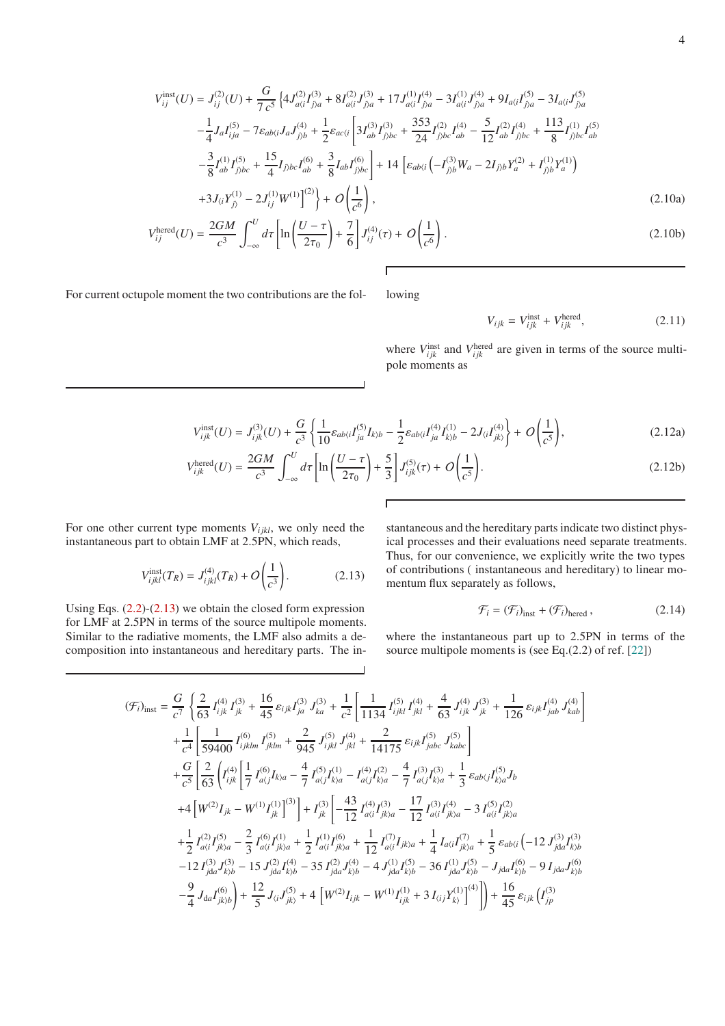$$
V_{ij}^{\text{inst}}(U) = J_{ij}^{(2)}(U) + \frac{G}{7c^5} \left\{ 4J_{a(i}^{(2)}I_{j)a}^{(3)} + 8I_{a(i}^{(2)}J_{j)a}^{(3)} + 17J_{a(i}^{(1)}I_{j)a}^{(4)} - 3I_{a(i}^{(1)}J_{j)a}^{(4)} + 9I_{a(i}I_{j)a}^{(5)} - 3I_{a(i}J_{j)a}^{(5)}
$$

$$
- \frac{1}{4}J_a I_{ija}^{(5)} - 7\varepsilon_{ab(i}J_a J_{j)b}^{(4)} + \frac{1}{2}\varepsilon_{ac(i} \left[ 3I_{ab}^{(3)}I_{j)bc}^{(3)} + \frac{353}{24}I_{j)bc}^{(2)}I_{ab}^{(4)} - \frac{5}{12}I_{ab}^{(2)}I_{j)bc}^{(4)} + \frac{113}{8}I_{j)bc}^{(1)}I_{ab}^{(5)}
$$

$$
- \frac{3}{8}I_{ab}^{(1)}I_{j)bc}^{(5)} + \frac{15}{4}I_{j)bc}I_{ab}^{(6)} + \frac{3}{8}I_{ab}I_{j)bc}^{(6)} \right\} + 14 \left[ \varepsilon_{ab(i} \left( -I_{j)b}^{(3)}W_a - 2I_{j)b}Y_a^{(2)} + I_{j)b}^{(1)}Y_a^{(1)} \right)
$$

$$
+ 3J_{\langle i}Y_{j\rangle}^{(1)} - 2J_{ij}^{(1)}W^{(1)} \right]^{(2)} \right\} + O\left(\frac{1}{c^6}\right),
$$
(2.10a)

$$
V_{ij}^{\text{hered}}(U) = \frac{2GM}{c^3} \int_{-\infty}^{U} d\tau \left[ \ln \left( \frac{U - \tau}{2\tau_0} \right) + \frac{7}{6} \right] J_{ij}^{(4)}(\tau) + O\left( \frac{1}{c^6} \right). \tag{2.10b}
$$

For current octupole moment the two contributions are the fol- lowing

$$
V_{ijk} = V_{ijk}^{\text{inst}} + V_{ijk}^{\text{hered}},\tag{2.11}
$$

where  $V_{ijk}^{\text{inst}}$  and  $V_{ijk}^{\text{hered}}$  are given in terms of the source multipole moments as

$$
V_{ijk}^{\text{inst}}(U) = J_{ijk}^{(3)}(U) + \frac{G}{c^3} \left\{ \frac{1}{10} \varepsilon_{ab\langle i} I_{ja}^{(5)} I_{k\rangle b} - \frac{1}{2} \varepsilon_{ab\langle i} I_{ja}^{(4)} I_{k\rangle b}^{(1)} - 2J_{\langle i} I_{jk\rangle}^{(4)} \right\} + O\left(\frac{1}{c^5}\right),\tag{2.12a}
$$

$$
V_{ijk}^{\text{hered}}(U) = \frac{2GM}{c^3} \int_{-\infty}^{U} d\tau \left[ \ln \left( \frac{U - \tau}{2\tau_0} \right) + \frac{5}{3} \right] J_{ijk}^{(5)}(\tau) + O\left( \frac{1}{c^5} \right). \tag{2.12b}
$$

For one other current type moments  $V_{ijkl}$ , we only need the instantaneous part to obtain LMF at 2.5PN, which reads,

$$
V_{ijkl}^{\text{inst}}(T_R) = J_{ijkl}^{(4)}(T_R) + O\left(\frac{1}{c^3}\right). \tag{2.13}
$$

Using Eqs.  $(2.2)-(2.13)$  $(2.2)-(2.13)$  we obtain the closed form expression for LMF at 2.5PN in terms of the source multipole moments. Similar to the radiative moments, the LMF also admits a decomposition into instantaneous and hereditary parts. The in-

<span id="page-3-0"></span>stantaneous and the hereditary parts indicate two distinct physical processes and their evaluations need separate treatments. Thus, for our convenience, we explicitly write the two types of contributions ( instantaneous and hereditary) to linear momentum flux separately as follows,

$$
\mathcal{F}_i = (\mathcal{F}_i)_{\text{inst}} + (\mathcal{F}_i)_{\text{hered}},\tag{2.14}
$$

where the instantaneous part up to 2.5PN in terms of the source multipole moments is (see Eq.(2.2) of ref. [\[22](#page-17-19)])

<span id="page-3-1"></span>
$$
\begin{split}\n(\mathcal{F}_{i})_{\text{inst}} &= \frac{G}{c^{7}} \left\{ \frac{2}{63} I_{ijk}^{(4)} I_{jk}^{(3)} + \frac{16}{45} \varepsilon_{ijk} I_{ja}^{(3)} J_{ka}^{(3)} + \frac{1}{c^{2}} \left[ \frac{1}{1134} I_{ijkl}^{(5)} I_{jkl}^{(4)} + \frac{4}{63} J_{ijk}^{(4)} J_{jk}^{(3)} + \frac{1}{126} \varepsilon_{ijk} I_{jab}^{(4)} J_{kab}^{(4)} \right] \\
&+ \frac{1}{c^{4}} \left[ \frac{1}{59400} I_{ijklm}^{(6)} I_{jklm}^{(5)} + \frac{2}{945} J_{ijkl}^{(5)} J_{jkl}^{(4)} + \frac{2}{14175} \varepsilon_{ijk} I_{jabc}^{(5)} J_{kabc}^{(5)} \right] \\
&+ \frac{G}{c^{5}} \left[ \frac{2}{63} \left( I_{ijk}^{(4)} \left[ \frac{1}{7} I_{\alpha(j}^{(6)} I_{k)a} - \frac{4}{7} I_{\alpha(j}^{(5)} I_{k)a}^{(1)} - I_{\alpha(j)}^{(4)} I_{k)a}^{(2)} - \frac{4}{7} I_{\alpha(j)}^{(3)} I_{k)a}^{(3)} + \frac{1}{3} \varepsilon_{ab(j} I_{k)a}^{(5)} I_{b} \right. \\
&+ 4 \left[ W^{(2)} I_{jk} - W^{(1)} I_{jk}^{(1)} \right]^{(3)} \right] + I_{jk}^{(3)} \left[ -\frac{43}{12} I_{\alpha(i}^{(4)} I_{jka}^{(3)} - \frac{17}{12} I_{\alpha(i}^{(3)} I_{jka}^{(4)} - 3 I_{\alpha(i)}^{(5)} I_{jka}^{(2)} \right. \\
&+ \frac{1}{2} I_{\alpha(i}^{(2)} I_{jka}^{(5)} - \frac{2}{3} I_{\alpha(i)}^{(6)} I_{jka}^{(1)} + \frac{1}{2} I_{\alpha(i)}^{(1)} I_{jka}^{(6)} + \frac{1}{12} I_{\alpha(i)}^{(7)} I_{jka} + \frac{1}{4} I_{\alpha(i} I_{jka}^{(7)} + \frac{1}{5} \varepsilon_{ab(i} \
$$

 $\blacksquare$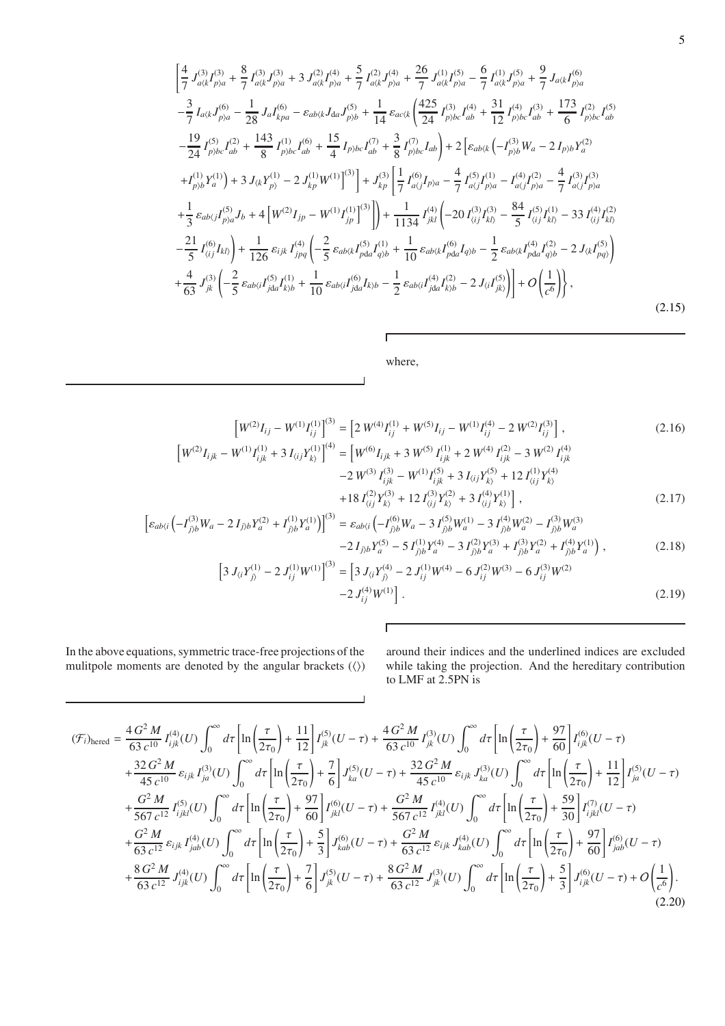$$
\begin{split}\n&\left[\frac{4}{7}J_{a(k}^{(3)}I_{p)a}^{(3)} + \frac{8}{7}I_{a(k}^{(3)}J_{p)a}^{(3)} + 3J_{a(k}^{(2)}I_{p)a}^{(4)} + \frac{5}{7}I_{a(k}^{(2)}J_{p)a}^{(4)} + \frac{26}{7}J_{a(k}^{(1)}I_{p)a}^{(5)} - \frac{6}{7}I_{a(k}^{(1)}J_{p)a}^{(5)} + \frac{9}{7}J_{a(k}^{(6)}I_{p)a} \\
&- \frac{3}{7}I_{a(k}J_{p)a}^{(6)} - \frac{1}{28}J_aI_{kpa}^{(6)} - \varepsilon_{ab(k}J_{da}J_{p)b}^{(5)} + \frac{1}{14}\varepsilon_{ac(k}\left(\frac{425}{24}I_{p)bc}^{(3)}I_{ab}^{(4)} + \frac{31}{12}I_{p)bc}^{(4)}I_{ab}^{(3)} + \frac{173}{6}I_{p)bc}^{(2)}I_{ab}^{(5)}\right. \\
&\left. - \frac{19}{24}I_{p)bc}^{(5)}I_{ab}^{(2)} + \frac{143}{8}I_{p)bc}^{(1)}I_{ab}^{(6)} + \frac{15}{4}I_{p)bc}I_{ab}^{(7)} + \frac{3}{8}I_{p)bc}^{(7)}I_{ab}^{(7)}\right] + 2\left[\varepsilon_{ab(k}\left(-I_{p)b}^{(3)}W_a - 2I_{p)b}Y_a^{(2)} + I_{p,b}^{(1)}Y_a^{(1)}\right) + 3J_{(k}Y_{p)}^{(1)} - 2J_{(k}^{(1)}W^{(1)}\right]^{(3)}\right] + J_{kp}^{(3)}\left[\frac{1}{7}I_{a(j}^{(6)}I_{p)a} - \frac{4}{7}I_{a(j}^{(5)}I_{p)a}^{(1)} - I_{a(j}^{(4)}I_{p)a}^{(2)} - \frac{4}{7}I_{a(j}^{(3)}I_{p)a}^{(3)}\right. \\
&\left. + \frac{1}{3}\varepsilon_{ab(j}I_{p)a}^{(5)}J_b + 4\left[W^{(2)}I_{jp} - W^{(1)}I_{jp}^{(1)}\right]^{(3)}\right] + \frac{1}{1134}I_{jkl}^{(
$$

where,

 $\Gamma$ 

 $\overline{\phantom{a}}$ 

$$
\left[W^{(2)}I_{ij} - W^{(1)}I_{ij}^{(1)}\right]^{(3)} = \left[2\ W^{(4)}I_{ij}^{(1)} + W^{(5)}I_{ij} - W^{(1)}I_{ij}^{(4)} - 2\ W^{(2)}I_{ij}^{(3)}\right],\tag{2.16}
$$
\n
$$
\left[W^{(2)}I_{ijk} - W^{(1)}I_{ijk}^{(1)} + 3\ I_{\langle ij}Y_{k\rangle}^{(1)}\right]^{(4)} = \left[W^{(6)}I_{ijk} + 3\ W^{(5)}I_{ijk}^{(1)} + 2\ W^{(4)}I_{ijk}^{(2)} - 3\ W^{(2)}I_{ijk}^{(4)}\right]
$$

$$
-2 W^{(3)} I_{ijk}^{(3)} - W^{(1)} I_{ijk}^{(5)} + 3 I_{\langle i j} Y_{k\rangle}^{(5)} + 12 I_{\langle i j}^{(1)} Y_{k\rangle}^{(4)} + 18 I_{\langle i j}^{(2)} Y_{k\rangle}^{(3)} + 12 I_{\langle i j}^{(3)} Y_{k\rangle}^{(2)} + 3 I_{\langle i j}^{(4)} Y_{k\rangle}^{(1)} \,,
$$
\n(2.17)

$$
\[ \varepsilon_{ab\langle i} \left( -I_{j\rangle b}^{(3)} W_a - 2 I_{j\rangle b} Y_a^{(2)} + I_{j\rangle b}^{(1)} Y_a^{(1)} \right) \]^{(3)} = \varepsilon_{ab\langle i} \left( -I_{j\rangle b}^{(6)} W_a - 3 I_{j\rangle b}^{(5)} W_a^{(1)} - 3 I_{j\rangle b}^{(4)} W_a^{(2)} - I_{j\rangle b}^{(3)} W_a^{(3)} - 2 I_{j\rangle b} Y_a^{(5)} - 5 I_{j\rangle b}^{(1)} Y_a^{(4)} - 3 I_{j\rangle b}^{(2)} Y_a^{(3)} + I_{j\rangle b}^{(3)} Y_a^{(2)} + I_{j\rangle b}^{(4)} Y_a^{(1)} \] \,, \tag{2.18}
$$

 $\overline{1}$ 

$$
\[3 J_{\langle i} Y_{j\rangle}^{(1)} - 2 J_{ij}^{(1)} W^{(1)}\]^{(3)} = \[3 J_{\langle i} Y_{j\rangle}^{(4)} - 2 J_{ij}^{(1)} W^{(4)} - 6 J_{ij}^{(2)} W^{(3)} - 6 J_{ij}^{(3)} W^{(2)} - 2 J_{ij}^{(4)} W^{(1)}\] \tag{2.19}
$$

In the above equations, symmetric trace-free projections of the mulitpole moments are denoted by the angular brackets  $(\langle \rangle)$  around their indices and the underlined indices are excluded while taking the projection. And the hereditary contribution to LMF at 2.5PN is

<span id="page-4-0"></span>
$$
\begin{split}\n(\mathcal{F}_{i})_{\text{hered}} &= \frac{4 \, G^{2} \, M}{63 \, c^{10}} I_{ijk}^{(4)}(U) \int_{0}^{\infty} d\tau \left[ \ln \left( \frac{\tau}{2\tau_{0}} \right) + \frac{11}{12} \right] I_{jk}^{(5)}(U - \tau) + \frac{4 \, G^{2} \, M}{63 \, c^{10}} I_{jk}^{(3)}(U) \int_{0}^{\infty} d\tau \left[ \ln \left( \frac{\tau}{2\tau_{0}} \right) + \frac{97}{60} \right] I_{ijk}^{(6)}(U - \tau) \\
&+ \frac{32 \, G^{2} \, M}{45 \, c^{10}} \, \varepsilon_{ijk} I_{ja}^{(3)}(U) \int_{0}^{\infty} d\tau \left[ \ln \left( \frac{\tau}{2\tau_{0}} \right) + \frac{7}{6} \right] J_{ka}^{(5)}(U - \tau) + \frac{32 \, G^{2} \, M}{45 \, c^{10}} \, \varepsilon_{ijk} J_{ka}^{(3)}(U) \int_{0}^{\infty} d\tau \left[ \ln \left( \frac{\tau}{2\tau_{0}} \right) + \frac{11}{12} \right] I_{ja}^{(5)}(U - \tau) \\
&+ \frac{G^{2} \, M}{567 \, c^{12}} I_{ijkl}^{(5)}(U) \int_{0}^{\infty} d\tau \left[ \ln \left( \frac{\tau}{2\tau_{0}} \right) + \frac{97}{60} \right] I_{jkl}^{(6)}(U - \tau) + \frac{G^{2} \, M}{567 \, c^{12}} I_{jkl}^{(4)}(U) \int_{0}^{\infty} d\tau \left[ \ln \left( \frac{\tau}{2\tau_{0}} \right) + \frac{59}{30} \right] I_{ijkl}^{(7)}(U - \tau) \\
&+ \frac{G^{2} \, M}{63 \, c^{12}} \, \varepsilon_{ijk} I_{jab}^{(4)}(U) \int_{0}^{\infty} d\tau \left[ \ln \left( \frac{\tau}{2\tau_{0}} \right) + \frac{5}{3} \right] J_{kab}^{(6)}(U - \tau) + \frac{G^{2} \, M}{63 \, c^{12}} \, \
$$

 $\overline{\phantom{a}}$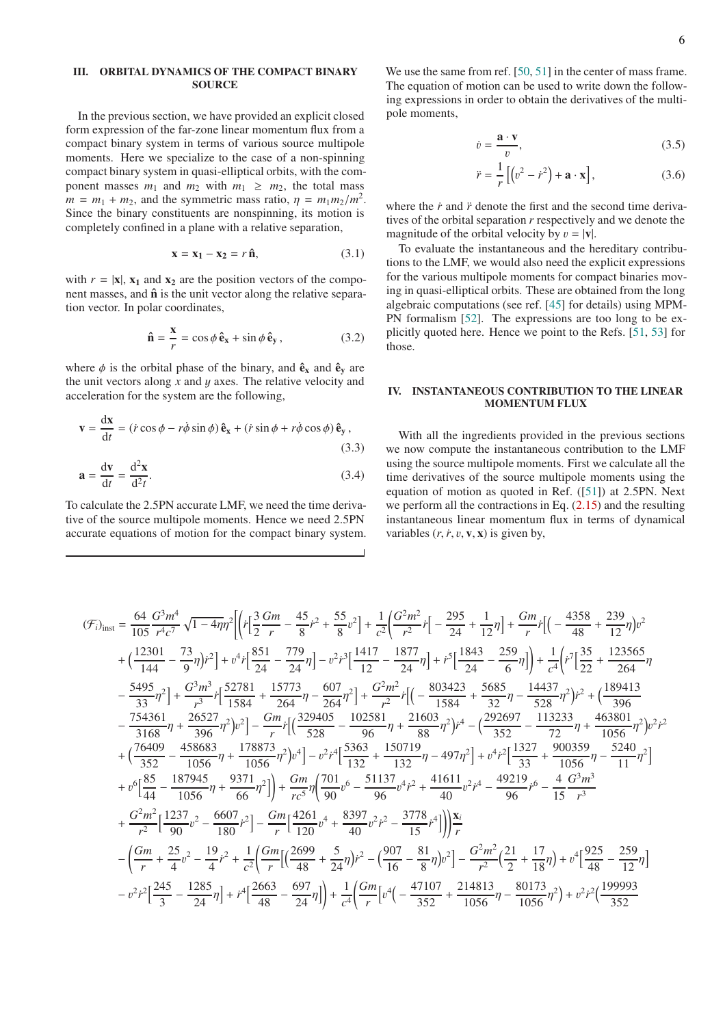# <span id="page-5-0"></span>III. ORBITAL DYNAMICS OF THE COMPACT BINARY **SOURCE**

In the previous section, we have provided an explicit closed form expression of the far-zone linear momentum flux from a compact binary system in terms of various source multipole moments. Here we specialize to the case of a non-spinning compact binary system in quasi-elliptical orbits, with the component masses  $m_1$  and  $m_2$  with  $m_1 \ge m_2$ , the total mass  $m = m_1 + m_2$ , and the symmetric mass ratio,  $\eta = m_1 m_2 / m^2$ . Since the binary constituents are nonspinning, its motion is completely confined in a plane with a relative separation,

$$
\mathbf{x} = \mathbf{x}_1 - \mathbf{x}_2 = r \,\hat{\mathbf{n}},\tag{3.1}
$$

with  $r = |x|$ ,  $x_1$  and  $x_2$  are the position vectors of the component masses, and  $\hat{\mathbf{n}}$  is the unit vector along the relative separation vector. In polar coordinates,

$$
\hat{\mathbf{n}} = \frac{\mathbf{x}}{r} = \cos\phi \,\hat{\mathbf{e}}_{\mathbf{x}} + \sin\phi \,\hat{\mathbf{e}}_{\mathbf{y}}\,,\tag{3.2}
$$

where  $\phi$  is the orbital phase of the binary, and  $\hat{\mathbf{e}}_{\mathbf{x}}$  and  $\hat{\mathbf{e}}_{\mathbf{y}}$  are the unit vectors along *x* and y axes. The relative velocity and acceleration for the system are the following,

$$
\mathbf{v} = \frac{d\mathbf{x}}{dt} = (\dot{r}\cos\phi - r\dot{\phi}\sin\phi)\,\hat{\mathbf{e}}_{\mathbf{x}} + (\dot{r}\sin\phi + r\dot{\phi}\cos\phi)\,\hat{\mathbf{e}}_{\mathbf{y}}\,,\tag{3.3}
$$

$$
\mathbf{a} = \frac{\mathrm{d}\mathbf{v}}{\mathrm{d}t} = \frac{\mathrm{d}^2\mathbf{x}}{\mathrm{d}t}.
$$
 (3.4)

To calculate the 2.5PN accurate LMF, we need the time derivative of the source multipole moments. Hence we need 2.5PN accurate equations of motion for the compact binary system.

We use the same from ref. [\[50,](#page-18-11) [51](#page-18-12)] in the center of mass frame. The equation of motion can be used to write down the following expressions in order to obtain the derivatives of the multipole moments,

$$
\dot{v} = \frac{\mathbf{a} \cdot \mathbf{v}}{v},\tag{3.5}
$$

$$
\ddot{r} = \frac{1}{r} \left[ \left( v^2 - \dot{r}^2 \right) + \mathbf{a} \cdot \mathbf{x} \right],\tag{3.6}
$$

where the  $\dot{r}$  and  $\ddot{r}$  denote the first and the second time derivatives of the orbital separation *r* respectively and we denote the magnitude of the orbital velocity by  $v = |\mathbf{v}|$ .

To evaluate the instantaneous and the hereditary contributions to the LMF, we would also need the explicit expressions for the various multipole moments for compact binaries moving in quasi-elliptical orbits. These are obtained from the long algebraic computations (see ref. [\[45\]](#page-18-13) for details) using MPM-PN formalism [\[52\]](#page-18-14). The expressions are too long to be explicitly quoted here. Hence we point to the Refs. [\[51,](#page-18-12) [53\]](#page-18-15) for those.

# <span id="page-5-1"></span>IV. INSTANTANEOUS CONTRIBUTION TO THE LINEAR MOMENTUM FLUX

<span id="page-5-2"></span>With all the ingredients provided in the previous sections we now compute the instantaneous contribution to the LMF using the source multipole moments. First we calculate all the time derivatives of the source multipole moments using the equation of motion as quoted in Ref. ([\[51\]](#page-18-12)) at 2.5PN. Next we perform all the contractions in Eq. [\(2.15\)](#page-3-1) and the resulting instantaneous linear momentum flux in terms of dynamical variables  $(r, r, v, v, x)$  is given by,

$$
\begin{split} &(\mathcal{F}_{i})_{\text{inst}}=\frac{64}{105}\frac{G^{3}m^{4}}{r^{4}c^{7}}\sqrt{1-4\eta}\eta^{2}\biggl[\Bigl\{r\biggl[ \frac{3}{2}\frac{Gm}{r}-\frac{45}{8}r^{2}+\frac{55}{8}v^{2}\Bigr]+\frac{1}{c^{2}}\biggl(\frac{G^{2}m^{2}}{r^{2}}r\biggl[ -\frac{295}{24}+\frac{1}{12}\eta\biggr]+\frac{Gm}{r}r\biggl[(-\frac{4358}{48}+\frac{239}{12}\eta\big)v^{2}\Bigr] \\ &+\biggl(\frac{12301}{144}-\frac{73}{9}\eta\bigl)r^{2}\biggr]+\frac{v^{4}r\biggl[\frac{851}{24}-\frac{779}{24}\eta\biggr]-v^{2}r^{3}\biggl[\frac{1417}{12}-\frac{1877}{24}\eta\biggr]+\frac{r^{5}\biggl[\frac{1843}{24}-\frac{259}{6}\eta\biggr]\Big)+\frac{1}{c^{4}}\biggl(r^{7}\biggl[\frac{35}{22}+\frac{123565}{264}\eta\biggr]\\ &-\frac{5495}{33}\eta^{2}\biggr]+\frac{G^{3}m^{3}}{r^{3}}r\biggl[\frac{52781}{1584}+\frac{15773}{264}\eta-\frac{607}{264}\eta^{2}\biggr]+\frac{G^{2}m^{2}}{r^{2}}r^{5}\biggl[(-\frac{803423}{1584}+\frac{5685}{32}\eta-\frac{14437}{528}\eta^{2})r^{2}+(\frac{189413}{32}-\frac{754361}{396}\eta+\frac{26527}{396}\eta^{2})v^{2}\biggr]-\frac{Gm}{r}r^{5}\biggl[\frac{329405}{528}-\frac{102581}{96}\eta+\frac{21603}{88}\eta^{2}\biggr)\Bigl\}^{4}-(\frac{29252}{352}-\frac{113233}{1523}\eta+\frac{463801}{396}\eta^{2})v^{2}r^{2}\Bigr] \\ &+\biggl(\frac{76409}{352}-\frac{
$$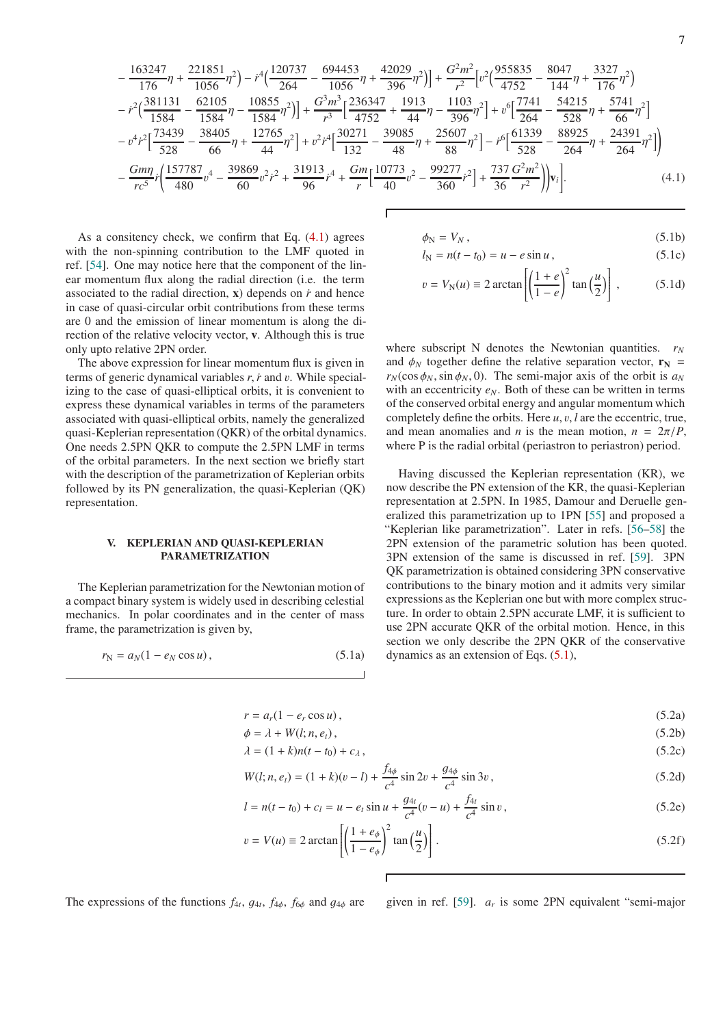$$
-\frac{163247}{176}\eta+\frac{221851}{1056}\eta^2)-r^4\left(\frac{120737}{264}-\frac{694453}{1056}\eta+\frac{42029}{396}\eta^2\right)\right]+\frac{G^2m^2}{r^2}\left[v^2\left(\frac{955835}{4752}-\frac{8047}{144}\eta+\frac{3327}{176}\eta^2\right)-\frac{r^2\left(\frac{381131}{1584}-\frac{62105}{1584}\eta-\frac{10855}{1584}\eta^2\right)\right]+\frac{G^3m^3}{r^3}\left[\frac{236347}{4752}+\frac{1913}{44}\eta-\frac{1103}{396}\eta^2\right]+v^6\left[\frac{7741}{264}-\frac{54215}{528}\eta+\frac{5741}{66}\eta^2\right]-\frac{v^4r^2\left[\frac{73439}{528}-\frac{38405}{66}\eta+\frac{12765}{44}\eta^2\right]+v^2r^4\left[\frac{30271}{132}-\frac{39085}{48}\eta+\frac{25607}{88}\eta^2\right]-r^6\left[\frac{61339}{528}-\frac{88925}{264}\eta+\frac{24391}{264}\eta^2\right]\right)-\frac{Gmn}{rc^5}r\left(\frac{157787}{480}v^4-\frac{39869}{60}v^2r^2+\frac{31913}{96}r^4+\frac{Gm}{r}\left[\frac{10773}{40}v^2-\frac{99277}{360}r^2\right]+\frac{737}{36}\frac{G^2m^2}{r^2}\right)\right)v_i\bigg].\tag{4.1}
$$

As a consitency check, we confirm that Eq. [\(4.1\)](#page-6-1) agrees with the non-spinning contribution to the LMF quoted in ref. [\[54\]](#page-18-16). One may notice here that the component of the linear momentum flux along the radial direction (i.e. the term associated to the radial direction,  $x$ ) depends on  $\dot{r}$  and hence in case of quasi-circular orbit contributions from these terms are 0 and the emission of linear momentum is along the direction of the relative velocity vector, v. Although this is true only upto relative 2PN order.

The above expression for linear momentum flux is given in terms of generic dynamical variables *r*,*r*˙ and v. While specializing to the case of quasi-elliptical orbits, it is convenient to express these dynamical variables in terms of the parameters associated with quasi-elliptical orbits, namely the generalized quasi-Keplerian representation (QKR) of the orbital dynamics. One needs 2.5PN QKR to compute the 2.5PN LMF in terms of the orbital parameters. In the next section we briefly start with the description of the parametrization of Keplerian orbits followed by its PN generalization, the quasi-Keplerian (QK) representation.

#### <span id="page-6-0"></span>V. KEPLERIAN AND QUASI-KEPLERIAN PARAMETRIZATION

The Keplerian parametrization for the Newtonian motion of a compact binary system is widely used in describing celestial mechanics. In polar coordinates and in the center of mass frame, the parametrization is given by,

<span id="page-6-3"></span>
$$
r_N = a_N(1 - e_N \cos u), \qquad (5.1a)
$$

<span id="page-6-1"></span>
$$
\phi_{\rm N} = V_N \,, \tag{5.1b}
$$

$$
l_{\rm N} = n(t - t_0) = u - e \sin u, \qquad (5.1c)
$$

$$
v = V_{N}(u) \equiv 2 \arctan\left[\left(\frac{1+e}{1-e}\right)^{2} \tan\left(\frac{u}{2}\right)\right],
$$
 (5.1d)

where subscript N denotes the Newtonian quantities.  $r_N$ and  $\phi_N$  together define the relative separation vector,  $\mathbf{r}_N$  =  $r_N(\cos \phi_N, \sin \phi_N, 0)$ . The semi-major axis of the orbit is  $a_N$ with an eccentricity  $e_N$ . Both of these can be written in terms of the conserved orbital energy and angular momentum which completely define the orbits. Here *u*, v, *l* are the eccentric, true, and mean anomalies and *n* is the mean motion,  $n = 2\pi/P$ , where P is the radial orbital (periastron to periastron) period.

Having discussed the Keplerian representation (KR), we now describe the PN extension of the KR, the quasi-Keplerian representation at 2.5PN. In 1985, Damour and Deruelle generalized this parametrization up to 1PN [\[55\]](#page-18-17) and proposed a "Keplerian like parametrization". Later in refs. [\[56](#page-18-18)[–58\]](#page-18-19) the 2PN extension of the parametric solution has been quoted. 3PN extension of the same is discussed in ref. [\[59\]](#page-18-20). 3PN QK parametrization is obtained considering 3PN conservative contributions to the binary motion and it admits very similar expressions as the Keplerian one but with more complex structure. In order to obtain 2.5PN accurate LMF, it is sufficient to use 2PN accurate QKR of the orbital motion. Hence, in this section we only describe the 2PN QKR of the conservative dynamics as an extension of Eqs. [\(5.1\)](#page-6-2),

<span id="page-6-2"></span>
$$
r = a_r(1 - e_r \cos u), \tag{5.2a}
$$

$$
\phi = \lambda + W(l; n, e_t), \tag{5.2b}
$$

$$
\lambda = (1 + k)n(t - t_0) + c_\lambda, \qquad (5.2c)
$$

$$
W(l; n, e_t) = (1 + k)(v - l) + \frac{f_{4\phi}}{c^4} \sin 2v + \frac{g_{4\phi}}{c^4} \sin 3v,
$$
\n(5.2d)

$$
l = n(t - t_0) + c_l = u - e_t \sin u + \frac{g_{4t}}{c^4} (v - u) + \frac{f_{4t}}{c^4} \sin v,
$$
 (5.2e)

$$
v = V(u) \equiv 2 \arctan\left[ \left( \frac{1 + e_{\phi}}{1 - e_{\phi}} \right)^2 \tan\left( \frac{u}{2} \right) \right].
$$
 (5.2f)

The expressions of the functions  $f_{4t}$ ,  $g_{4t}$ ,  $f_{4\phi}$ ,  $f_{6\phi}$  and  $g_{4\phi}$  are given in ref. [\[59](#page-18-20)].  $a_r$ 

<span id="page-6-5"></span><span id="page-6-4"></span>given in ref. [59].  $a_r$  is some 2PN equivalent "semi-major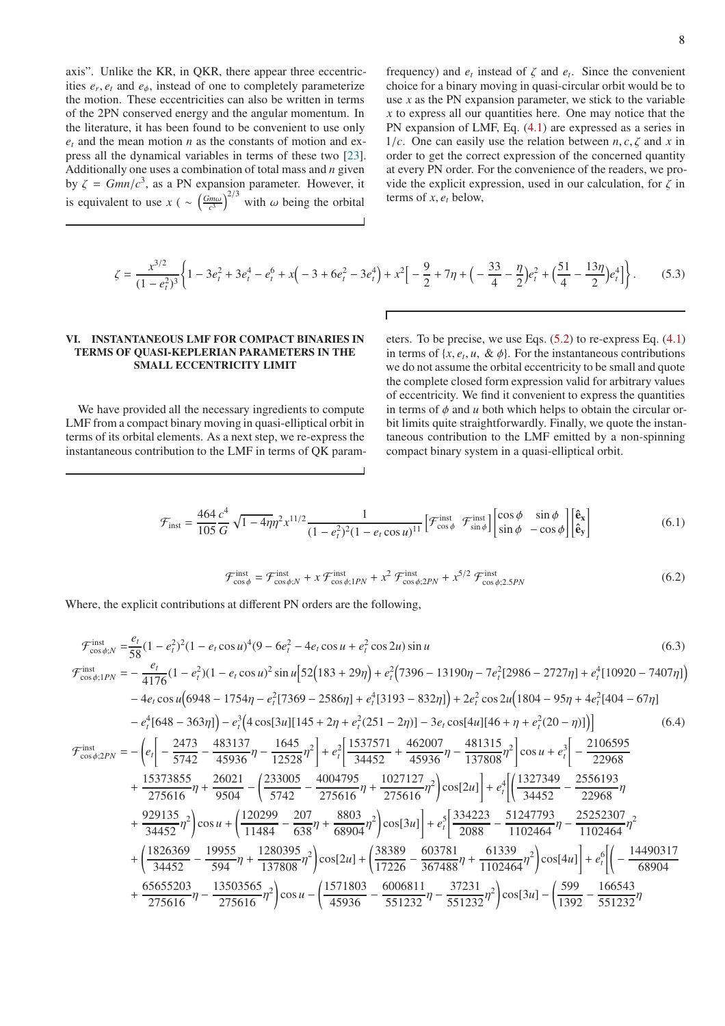axis". Unlike the KR, in QKR, there appear three eccentricities  $e_r$ ,  $e_t$  and  $e_{\phi}$ , instead of one to completely parameterize the motion. These eccentricities can also be written in terms of the 2PN conserved energy and the angular momentum. In the literature, it has been found to be convenient to use only *e<sup>t</sup>* and the mean motion *n* as the constants of motion and express all the dynamical variables in terms of these two [\[23\]](#page-17-20). Additionally one uses a combination of total mass and *n* given by  $\zeta = Gmn/c^3$ , as a PN expansion parameter. However, it is equivalent to use  $x \left( \sim \left( \frac{Gm\omega}{c^3} \right)^{2/3} \right)$  with  $\omega$  being the orbital

frequency) and  $e_t$  instead of  $\zeta$  and  $e_t$ . Since the convenient choice for a binary moving in quasi-circular orbit would be to use  $x$  as the PN expansion parameter, we stick to the variable *x* to express all our quantities here. One may notice that the PN expansion of LMF, Eq. [\(4.1\)](#page-6-1) are expressed as a series in 1/*c*. One can easily use the relation between  $n, c, \zeta$  and x in order to get the correct expression of the concerned quantity at every PN order. For the convenience of the readers, we provide the explicit expression, used in our calculation, for  $\zeta$  in terms of *x*, *e<sup>t</sup>* below,

$$
\zeta = \frac{x^{3/2}}{(1 - e_t^2)^3} \left\{ 1 - 3e_t^2 + 3e_t^4 - e_t^6 + x\left(-3 + 6e_t^2 - 3e_t^4\right) + x^2 \left[ -\frac{9}{2} + 7\eta + \left(-\frac{33}{4} - \frac{\eta}{2}\right)e_t^2 + \left(\frac{51}{4} - \frac{13\eta}{2}\right)e_t^4 \right] \right\}.
$$
 (5.3)

# <span id="page-7-0"></span>VI. INSTANTANEOUS LMF FOR COMPACT BINARIES IN TERMS OF QUASI-KEPLERIAN PARAMETERS IN THE SMALL ECCENTRICITY LIMIT

We have provided all the necessary ingredients to compute LMF from a compact binary moving in quasi-elliptical orbit in terms of its orbital elements. As a next step, we re-express the instantaneous contribution to the LMF in terms of QK param<span id="page-7-1"></span>eters. To be precise, we use Eqs. [\(5.2\)](#page-6-3) to re-express Eq. [\(4.1\)](#page-6-1) in terms of  $\{x, e_t, u, \& \phi\}$ . For the instantaneous contributions we do not assume the orbital eccentricity to be small and quote the complete closed form expression valid for arbitrary values of eccentricity. We find it convenient to express the quantities in terms of  $\phi$  and  $u$  both which helps to obtain the circular orbit limits quite straightforwardly. Finally, we quote the instantaneous contribution to the LMF emitted by a non-spinning compact binary system in a quasi-elliptical orbit.

$$
\mathcal{F}_{\text{inst}} = \frac{464}{105} \frac{c^4}{G} \sqrt{1 - 4\eta} \eta^2 x^{11/2} \frac{1}{(1 - e_t^2)^2 (1 - e_t \cos u)^{11}} \left[ \mathcal{F}_{\cos \phi}^{\text{inst}} \mathcal{F}_{\sin \phi}^{\text{inst}} \right] \begin{bmatrix} \cos \phi & \sin \phi \\ \sin \phi & -\cos \phi \end{bmatrix} \begin{bmatrix} \hat{\mathbf{e}}_{\mathbf{x}} \\ \hat{\mathbf{e}}_{\mathbf{y}} \end{bmatrix} \tag{6.1}
$$

$$
\mathcal{F}_{\cos\phi}^{\text{inst}} = \mathcal{F}_{\cos\phi;N}^{\text{inst}} + x \mathcal{F}_{\cos\phi;1PN}^{\text{inst}} + x^2 \mathcal{F}_{\cos\phi;2PN}^{\text{inst}} + x^{5/2} \mathcal{F}_{\cos\phi;2.5PN}^{\text{inst}} \tag{6.2}
$$

Where, the explicit contributions at different PN orders are the following,

$$
\mathcal{F}_{\cos\phi;N}^{\text{inst}} = \frac{e_i}{58}(1 - e_i^2)^2(1 - e_i \cos u)^4(9 - 6e_i^2 - 4e_i \cos u + e_i^2 \cos 2u) \sin u
$$
\n
$$
\mathcal{F}_{\cos\phi;1PN}^{\text{inst}} = -\frac{e_i}{4176}(1 - e_i^2)(1 - e_i \cos u)^2 \sin u[52(183 + 29\eta) + e_i^2(7396 - 13190\eta - 7e_i^2[2986 - 2727\eta] + e_i^4[10920 - 7407\eta])
$$
\n
$$
-4e_i \cos u(6948 - 1754\eta - e_i^2[7369 - 2586\eta] + e_i^4[3193 - 832\eta]) + 2e_i^2 \cos 2u(1804 - 95\eta + 4e_i^2[404 - 67\eta]
$$
\n
$$
-e_i^4[648 - 363\eta] - e_i^3(4 \cos[3u][145 + 2\eta + e_i^2(251 - 2\eta)] - 3e_i \cos[4u][46 + \eta + e_i^2(20 - \eta)])
$$
\n
$$
\mathcal{F}_{\cos\phi;2PN}^{\text{inst}} = -\left(e_i\left[-\frac{2473}{5742} - \frac{483137}{45936}\eta - \frac{1645}{12528}\eta^2\right] + e_i^2\left[\frac{1537571}{34452} + \frac{462007}{45936}\eta - \frac{481315}{137808}\eta^2\right] \cos u + e_i^3\left[-\frac{2106595}{22968} + \frac{15373855}{275616}\eta + \frac{26021}{9504} - \left(\frac{233005}{5742} - \frac{4004795}{275616}\eta + \frac{1027127}{275616}\eta^2\right) \cos[2u]\right] + e_i^4\left[\left(\frac{1327349}{34452} - \frac{2556193}{22968}\eta + \frac{929135}{34
$$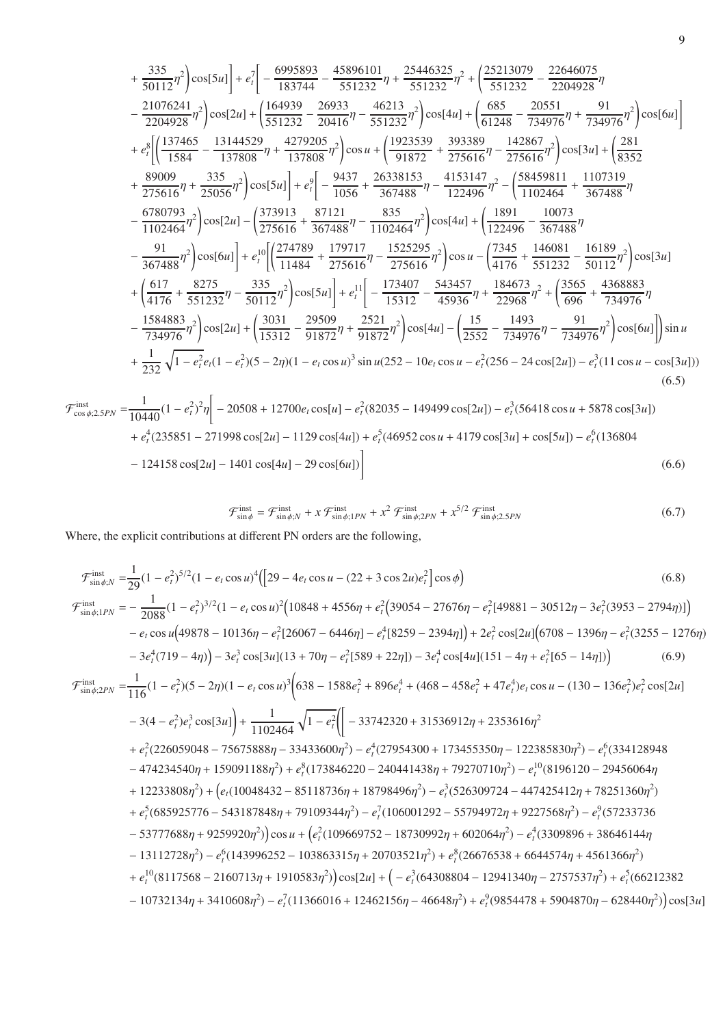$$
+\frac{335}{50112}\eta^2\left[\cos[5u]\right]+e_i^7\left[-\frac{6995893}{183744}-\frac{45896101}{551232}\eta+\frac{25446325}{551232}\eta^2+\left(\frac{25213079}{551232}-\frac{22646075}{2204928}\eta\right)\right]-\frac{21076241}{2204928}\eta^2\left[\cos[2u]+\left(\frac{164939}{551232}-\frac{26933}{20416}\eta-\frac{46213}{551232}\eta^2\right]\cos[4u]+\left(\frac{685}{61248}-\frac{20551}{734976}\eta+\frac{91}{734976}\eta^2\right]\cos[6u]\right]+\left.\frac{e_i^8\left[\left(\frac{137465}{1584}-\frac{13144529}{137808}\eta+\frac{4279205}{137808}\eta^2\right]\cos u+\left(\frac{1923539}{91872}+\frac{393389}{275616}\eta-\frac{142867}{275616}\eta^2\right)\cos[3u]+\left(\frac{281}{8352}\right]+\frac{89009}{275616}\eta+\frac{335}{25056}\eta^2\right]\cos[5u]\right]+\left.\frac{e_i^9\left[-\frac{9437}{1056}+\frac{26338153}{367488}\eta-\frac{4153147}{122496}\eta^2-\left(\frac{58459811}{1102464}+\frac{1107319}{367488}\eta\right)\right]-\frac{6780793}{1102464}\eta^2\right]\cos[2u]-\left(\frac{373913}{275616}+\frac{87121}{367488}\eta-\frac{835}{10122496}\eta^2\right)\cos[4u]+\left(\frac{1891}{122496}-\frac{10073}{367488}\eta\right)-\frac{91}{367488}\eta^2\right)\cos[6u]\right]+\left.\frac{e_i^1\
$$

$$
\mathcal{F}_{\cos\phi;2.5PN}^{\text{inst}} = \frac{1}{10440} (1 - e_t^2)^2 \eta \bigg[ -20508 + 12700e_t \cos[u] - e_t^2 (82035 - 149499 \cos[2u]) - e_t^3 (56418 \cos u + 5878 \cos[3u])
$$
  
+  $e_t^4 (235851 - 271998 \cos[2u] - 1129 \cos[4u]) + e_t^5 (46952 \cos u + 4179 \cos[3u] + \cos[5u]) - e_t^6 (136804 - 124158 \cos[2u] - 1401 \cos[4u] - 29 \cos[6u]) \bigg]$  (6.6)

$$
\mathcal{F}_{\sin\phi}^{\text{inst}} = \mathcal{F}_{\sin\phi;N}^{\text{inst}} + x \mathcal{F}_{\sin\phi;1PN}^{\text{inst}} + x^2 \mathcal{F}_{\sin\phi;2PN}^{\text{inst}} + x^{5/2} \mathcal{F}_{\sin\phi;2.5PN}^{\text{inst}} \tag{6.7}
$$

Where, the explicit contributions at different PN orders are the following,

$$
\mathcal{F}_{\sin\phi;1PN}^{\text{inst}} = \frac{1}{29}(1 - e_t^2)^{5/2}(1 - e_t\cos u)^4 \left( [29 - 4e_t\cos u - (22 + 3\cos 2u)e_t^2 \right] \cos \phi \right)
$$
(6.8)  
\n
$$
\mathcal{F}_{\sin\phi;1PN}^{\text{inst}} = -\frac{1}{2088}(1 - e_t^2)^{3/2}(1 - e_t\cos u)^2(10848 + 4556\eta + e_t^2(39054 - 27676\eta - e_t^2[49881 - 30512\eta - 3e_t^2(3953 - 2794\eta)] \right) - e_t\cos u(49878 - 10136\eta - e_t^2[26067 - 6446\eta] - e_t^4[8259 - 2394\eta] \right) + 2e_t^2\cos[2u]\left(6708 - 1396\eta - e_t^2(3255 - 1276\eta) - 3e_t^4(719 - 4\eta)\right) - 3e_t^3\cos[3u](13 + 70\eta - e_t^2[589 + 22\eta]) - 3e_t^4\cos[4u](151 - 4\eta + e_t^2[65 - 14\eta]) \right)
$$
(6.9)  
\n
$$
\mathcal{F}_{\sin\phi;2PN}^{\text{inst}} = \frac{1}{116}(1 - e_t^2)(5 - 2\eta)(1 - e_t\cos u)^3\left(638 - 1588e_t^2 + 896e_t^4 + (468 - 458e_t^2 + 47e_t^4)e_t\cos u - (130 - 136e_t^2)e_t^2\cos[2u] \right) - 3(4 - e_t^2)e_t^3\cos[3u] \right) + \frac{1}{1102464}\sqrt{1 - e_t^2}\left( [-33742320 + 31536912\eta + 2353616\eta^2 + e_t^2(226059048 - 75675888\eta - 33433600\eta^2) - e_t^4(27954300 + 173455350\eta - 122385830\eta^2) - e_t^6(33
$$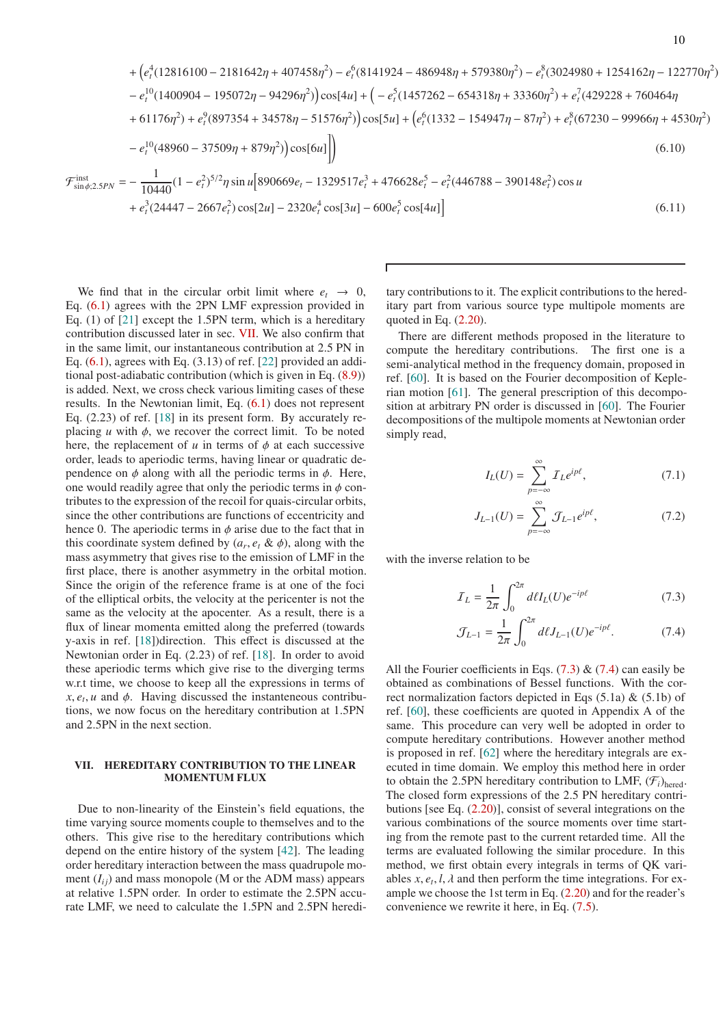$$
+\left(e_t^4(12816100-2181642\eta+407458\eta^2)-e_t^6(8141924-486948\eta+579380\eta^2)-e_t^8(3024980+1254162\eta-122770\eta^2)-e_t^1(1400904-195072\eta-94296\eta^2)\right)\cos[4u] + \left(-e_t^5(1457262-654318\eta+33360\eta^2)+e_t^7(429228+760464\eta^2)+61176\eta^2)+e_t^9(897354+34578\eta-51576\eta^2)\right)\cos[5u] + \left(e_t^6(1332-154947\eta-87\eta^2)+e_t^8(67230-99966\eta+4530\eta^2)-e_t^{10}(48960-37509\eta+879\eta^2)\right)\cos[6u]\right)
$$
\n
$$
\mathcal{F}_{\sin\phi;2.5PN}^{inst} = -\frac{1}{10440}(1-e_t^2)^{5/2}\eta\sin u[890669e_t-1329517e_t^3+476628e_t^5-e_t^2(446788-390148e_t^2)\cos u + e_t^3(24447-2667e_t^2)\cos[2u] - 2320e_t^4\cos[3u] - 600e_t^5\cos[4u]\right)
$$
\n(6.11)

We find that in the circular orbit limit where  $e_t \rightarrow 0$ , Eq. [\(6.1\)](#page-7-1) agrees with the 2PN LMF expression provided in Eq. (1) of [\[21\]](#page-17-18) except the 1.5PN term, which is a hereditary contribution discussed later in sec. [VII.](#page-9-0) We also confirm that in the same limit, our instantaneous contribution at 2.5 PN in Eq.  $(6.1)$ , agrees with Eq.  $(3.13)$  of ref. [\[22\]](#page-17-19) provided an additional post-adiabatic contribution (which is given in Eq. [\(8.9\)](#page-12-1)) is added. Next, we cross check various limiting cases of these results. In the Newtonian limit, Eq. [\(6.1\)](#page-7-1) does not represent Eq. (2.23) of ref. [\[18](#page-17-15)] in its present form. By accurately replacing  $u$  with  $\phi$ , we recover the correct limit. To be noted here, the replacement of  $u$  in terms of  $\phi$  at each successive order, leads to aperiodic terms, having linear or quadratic dependence on  $\phi$  along with all the periodic terms in  $\phi$ . Here, one would readily agree that only the periodic terms in  $\phi$  contributes to the expression of the recoil for quais-circular orbits, since the other contributions are functions of eccentricity and hence 0. The aperiodic terms in  $\phi$  arise due to the fact that in this coordinate system defined by  $(a_r, e_t \& \phi)$ , along with the mass asymmetry that gives rise to the emission of LMF in the first place, there is another asymmetry in the orbital motion. Since the origin of the reference frame is at one of the foci of the elliptical orbits, the velocity at the pericenter is not the same as the velocity at the apocenter. As a result, there is a flux of linear momenta emitted along the preferred (towards y-axis in ref. [\[18](#page-17-15)])direction. This effect is discussed at the Newtonian order in Eq. (2.23) of ref. [\[18\]](#page-17-15). In order to avoid these aperiodic terms which give rise to the diverging terms w.r.t time, we choose to keep all the expressions in terms of  $x, e_t, u$  and  $\phi$ . Having discussed the instanteneous contributions, we now focus on the hereditary contribution at 1.5PN and 2.5PN in the next section.

# <span id="page-9-0"></span>VII. HEREDITARY CONTRIBUTION TO THE LINEAR MOMENTUM FLUX

Due to non-linearity of the Einstein's field equations, the time varying source moments couple to themselves and to the others. This give rise to the hereditary contributions which depend on the entire history of the system [\[42\]](#page-18-21). The leading order hereditary interaction between the mass quadrupole moment  $(I_{ii})$  and mass monopole (M or the ADM mass) appears at relative 1.5PN order. In order to estimate the 2.5PN accurate LMF, we need to calculate the 1.5PN and 2.5PN hereditary contributions to it. The explicit contributions to the hereditary part from various source type multipole moments are quoted in Eq.  $(2.20)$ .

There are different methods proposed in the literature to compute the hereditary contributions. The first one is a semi-analytical method in the frequency domain, proposed in ref. [\[60](#page-18-22)]. It is based on the Fourier decomposition of Keplerian motion [\[61\]](#page-18-23). The general prescription of this decomposition at arbitrary PN order is discussed in [\[60](#page-18-22)]. The Fourier decompositions of the multipole moments at Newtonian order simply read,

$$
I_L(U) = \sum_{p=-\infty}^{\infty} I_L e^{ip\ell},\tag{7.1}
$$

$$
J_{L-1}(U) = \sum_{p=-\infty}^{\infty} \mathcal{J}_{L-1} e^{ip\ell},\tag{7.2}
$$

with the inverse relation to be

$$
\mathcal{I}_L = \frac{1}{2\pi} \int_0^{2\pi} d\ell I_L(U) e^{-ip\ell} \tag{7.3}
$$

<span id="page-9-2"></span><span id="page-9-1"></span>
$$
\mathcal{J}_{L-1} = \frac{1}{2\pi} \int_0^{2\pi} d\ell J_{L-1}(U) e^{-ip\ell}.
$$
 (7.4)

All the Fourier coefficients in Eqs.  $(7.3)$  &  $(7.4)$  can easily be obtained as combinations of Bessel functions. With the correct normalization factors depicted in Eqs  $(5.1a) \& (5.1b)$  of ref. [\[60](#page-18-22)], these coefficients are quoted in Appendix A of the same. This procedure can very well be adopted in order to compute hereditary contributions. However another method is proposed in ref. [\[62\]](#page-18-24) where the hereditary integrals are executed in time domain. We employ this method here in order to obtain the 2.5PN hereditary contribution to LMF,  $(\mathcal{F}_i)_{\text{hered}}$ . The closed form expressions of the 2.5 PN hereditary contributions [see Eq. [\(2.20\)](#page-4-0)], consist of several integrations on the various combinations of the source moments over time starting from the remote past to the current retarded time. All the terms are evaluated following the similar procedure. In this method, we first obtain every integrals in terms of QK variables  $x$ ,  $e_t$ ,  $l$ ,  $\lambda$  and then perform the time integrations. For example we choose the 1st term in Eq. [\(2.20\)](#page-4-0) and for the reader's convenience we rewrite it here, in Eq. [\(7.5\)](#page-10-0).

2 )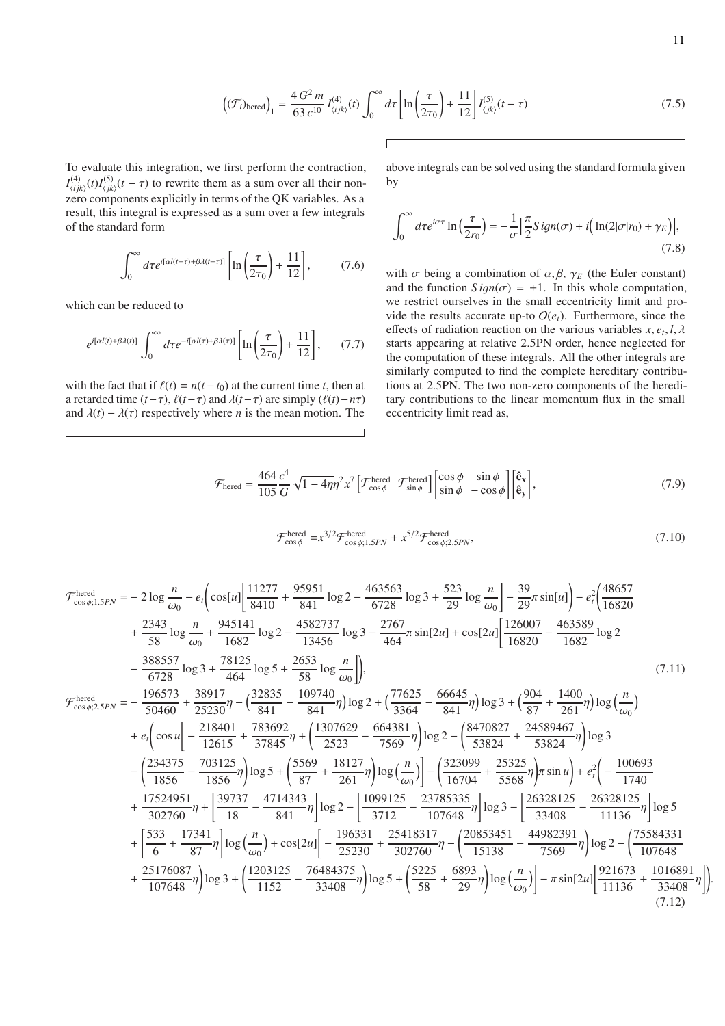$$
\left( (\mathcal{F}_i)_{\text{hered}} \right)_1 = \frac{4 G^2 m}{63 c^{10}} I_{\langle ijk \rangle}^{(4)}(t) \int_0^\infty d\tau \left[ \ln \left( \frac{\tau}{2\tau_0} \right) + \frac{11}{12} \right] I_{\langle jk \rangle}^{(5)}(t-\tau) \tag{7.5}
$$

To evaluate this integration, we first perform the contraction,  $I_{\text{tri}}^{(4)}$  $\binom{(4)}{\langle ijk \rangle}(t)I^{(5)}_{\langle jk \rangle}$  $h_{ijk}^{(3)}(t-\tau)$  to rewrite them as a sum over all their nonzero components explicitly in terms of the QK variables. As a result, this integral is expressed as a sum over a few integrals of the standard form

$$
\int_0^\infty d\tau e^{i\left[\alpha l(t-\tau)+\beta \lambda(t-\tau)\right]}\left[\ln\left(\frac{\tau}{2\tau_0}\right)+\frac{11}{12}\right],\tag{7.6}
$$

which can be reduced to

$$
e^{i[\alpha l(t)+\beta\lambda(t)]}\int_0^\infty d\tau e^{-i[\alpha l(\tau)+\beta\lambda(\tau)]}\left[\ln\left(\frac{\tau}{2\tau_0}\right)+\frac{11}{12}\right],\qquad(7.7)
$$

with the fact that if  $\ell(t) = n(t - t_0)$  at the current time *t*, then at a retarded time  $(t-\tau)$ ,  $\ell(t-\tau)$  and  $\lambda(t-\tau)$  are simply  $(\ell(t)-n\tau)$ and  $\lambda(t) - \lambda(\tau)$  respectively where *n* is the mean motion. The

<span id="page-10-0"></span>above integrals can be solved using the standard formula given by

$$
\int_0^\infty d\tau e^{i\sigma\tau} \ln\left(\frac{\tau}{2r_0}\right) = -\frac{1}{\sigma} \left[\frac{\pi}{2} S i g n(\sigma) + i \left(\ln(2|\sigma|r_0) + \gamma_E\right)\right],\tag{7.8}
$$

<span id="page-10-1"></span>with  $\sigma$  being a combination of  $\alpha$ ,  $\beta$ ,  $\gamma$ <sub>E</sub> (the Euler constant) and the function  $Sign(\sigma) = \pm 1$ . In this whole computation, we restrict ourselves in the small eccentricity limit and provide the results accurate up-to  $O(e_t)$ . Furthermore, since the effects of radiation reaction on the various variables  $x, e_t, l, \lambda$ starts appearing at relative 2.5PN order, hence neglected for the computation of these integrals. All the other integrals are similarly computed to find the complete hereditary contributions at 2.5PN. The two non-zero components of the hereditary contributions to the linear momentum flux in the small eccentricity limit read as,

$$
\mathcal{F}_{\text{hered}} = \frac{464}{105} \frac{c^4}{G} \sqrt{1 - 4\eta} \eta^2 x^7 \left[ \mathcal{F}_{\cos\phi}^{\text{hered}} \ \mathcal{F}_{\sin\phi}^{\text{hered}} \right] \begin{bmatrix} \cos\phi & \sin\phi \\ \sin\phi & -\cos\phi \end{bmatrix} \begin{bmatrix} \hat{\mathbf{e}}_{\mathbf{x}} \\ \hat{\mathbf{e}}_{\mathbf{y}} \end{bmatrix},\tag{7.9}
$$

$$
\mathcal{F}_{\cos\phi}^{\text{hered}} = x^{3/2} \mathcal{F}_{\cos\phi;1.5PN}^{\text{hered}} + x^{5/2} \mathcal{F}_{\cos\phi;2.5PN}^{\text{hered}},\tag{7.10}
$$

$$
\mathcal{F}_{\cos\phi;1SPN}^{\text{hered}} = -2 \log \frac{n}{\omega_0} - e_t \Big( \cos\left[n\right] \frac{11277}{8410} + \frac{95951}{8411} \log 2 - \frac{463563}{6728} \log 3 + \frac{523}{29} \log \frac{n}{\omega_0} \Big] - \frac{39}{29} \pi \sin\left[n\right] - e_t^2 \Big( \frac{48657}{16820} + \frac{2343}{58} \log \frac{n}{\omega_0} + \frac{945141}{1682} \log 2 - \frac{4582737}{13456} \log 3 - \frac{2767}{464} \pi \sin\left[2u\right] + \cos\left[2u\right] \Big[ \frac{126007}{16820} - \frac{463589}{1682} \log 2 - \frac{388557}{6728} \log 3 + \frac{78125}{464} \log 5 + \frac{2653}{58} \log \frac{n}{\omega_0} \Big] \Big), \qquad (7.11)
$$
\n
$$
\mathcal{F}_{\cos\phi;2SPN}^{\text{hered}} = -\frac{196573}{50460} + \frac{38917}{25230} - \frac{(\frac{32835}{841} - \frac{109740}{841} \eta) \log 2 + (\frac{77625}{3364} - \frac{66645}{841} \eta) \log 3 + (\frac{904}{87} + \frac{1400}{261} \eta) \log \Big( \frac{n}{\omega_0} \Big) + e_t \Big( \cos u \Big( - \frac{218401}{12615} + \frac{783692}{37845} \eta + \Big( \frac{1307629}{2523} - \frac{664381}{7569} \eta \Big) \log 2 - \Big( \frac{8470827}{53824} + \frac{24589467}{53824} \eta \Big) \log 3 - \Big( \frac{234375}{1856} - \frac{703125}{1856} \eta \Big) \log 5 + \Big(
$$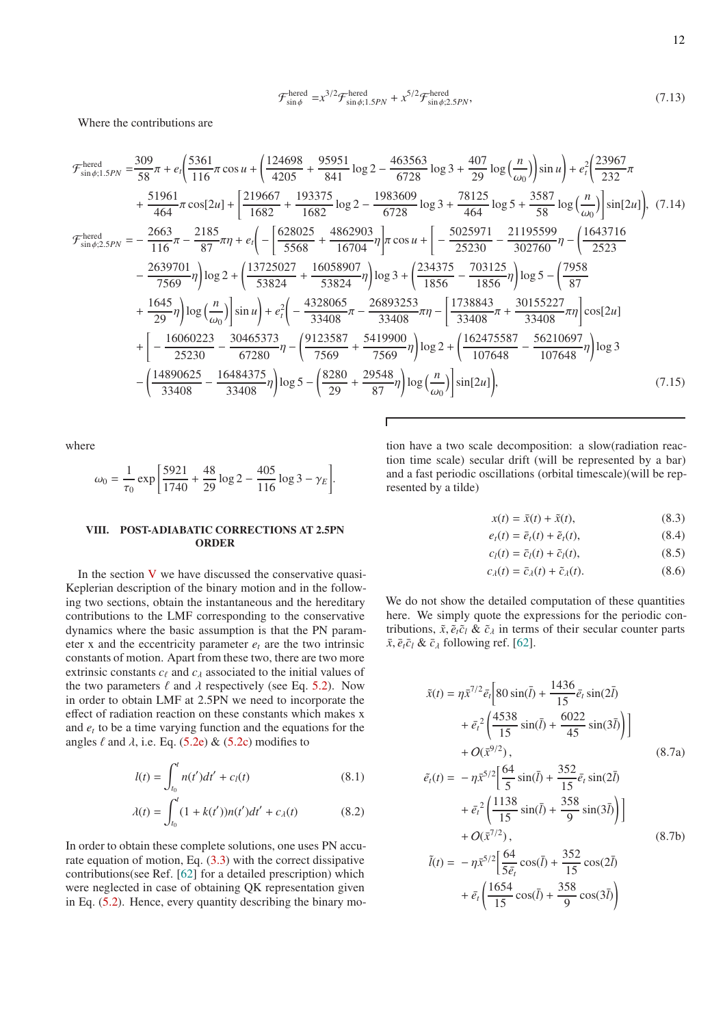$$
\mathcal{F}_{\sin\phi}^{\text{hered}} = x^{3/2} \mathcal{F}_{\sin\phi;1.5PN}^{\text{hered}} + x^{5/2} \mathcal{F}_{\sin\phi;2.5PN}^{\text{hered}},\tag{7.13}
$$

Where the contributions are

$$
\mathcal{F}_{\sin\phi;1.5PN}^{\text{hered}} = \frac{309}{58}\pi + e_t \left(\frac{5361}{116}\pi\cos u + \left(\frac{124698}{4205} + \frac{95951}{841}\log 2 - \frac{463563}{6728}\log 3 + \frac{407}{29}\log \left(\frac{n}{\omega_0}\right)\right)\sin u\right) + e_t^2 \left(\frac{23967}{232}\pi\right)
$$
\n
$$
+ \frac{51961}{464}\pi\cos[2u] + \left[\frac{219667}{1682} + \frac{193375}{1682}\log 2 - \frac{1983609}{6728}\log 3 + \frac{78125}{464}\log 5 + \frac{3587}{58}\log \left(\frac{n}{\omega_0}\right)\right]\sin[2u]\right), (7.14)
$$
\n
$$
\mathcal{F}_{\sin\phi;2.5PN}^{\text{hered}} = -\frac{2663}{116}\pi - \frac{2185}{87}\pi\eta + e_t \left(-\left[\frac{628025}{5568} + \frac{4862903}{16704}\eta\right]\pi\cos u + \left[-\frac{5025971}{25230} - \frac{21195599}{302760}\eta - \left(\frac{1643716}{2523}\right)\right]\cos 2 + \left(\frac{13725027}{53824} + \frac{16058907}{53824}\eta\right)\log 3 + \left(\frac{234375}{1856} - \frac{703125}{1856}\eta\right)\log 5 - \left(\frac{7958}{87}\right)
$$
\n
$$
+ \frac{1645}{29}\eta\right)\log\left(\frac{n}{\omega_0}\right)\sin u\right) + e_t^2 \left(-\frac{4328065}{33408}\pi - \frac{26893253}{33408}\pi\eta - \left[\frac{1738843}{33408}\pi + \frac{30155227}{33408}\eta\right]\cos[2u]\right)
$$
\n
$$
+ \left[-\frac{16060223
$$

where

$$
\omega_0 = \frac{1}{\tau_0} \exp \left[ \frac{5921}{1740} + \frac{48}{29} \log 2 - \frac{405}{116} \log 3 - \gamma_E \right].
$$

### <span id="page-11-0"></span>VIII. POST-ADIABATIC CORRECTIONS AT 2.5PN ORDER

In the section  $V$  we have discussed the conservative quasi-Keplerian description of the binary motion and in the following two sections, obtain the instantaneous and the hereditary contributions to the LMF corresponding to the conservative dynamics where the basic assumption is that the PN parameter x and the eccentricity parameter  $e_t$  are the two intrinsic constants of motion. Apart from these two, there are two more extrinsic constants  $c_\ell$  and  $c_\lambda$  associated to the initial values of the two parameters  $\ell$  and  $\lambda$  respectively (see Eq. [5.2\)](#page-6-3). Now in order to obtain LMF at 2.5PN we need to incorporate the effect of radiation reaction on these constants which makes x and *e<sup>t</sup>* to be a time varying function and the equations for the angles  $\ell$  and  $\lambda$ , i.e. Eq. [\(5.2e\)](#page-6-4) & [\(5.2c\)](#page-6-5) modifies to

$$
l(t) = \int_{t_0}^{t} n(t')dt' + c_l(t)
$$
\n(8.1)

$$
\lambda(t) = \int_{t_0}^t (1 + k(t'))n(t')dt' + c_{\lambda}(t) \tag{8.2}
$$

In order to obtain these complete solutions, one uses PN accurate equation of motion, Eq. [\(3.3\)](#page-5-2) with the correct dissipative contributions(see Ref. [\[62\]](#page-18-24) for a detailed prescription) which were neglected in case of obtaining QK representation given in Eq. [\(5.2\)](#page-6-3). Hence, every quantity describing the binary motion have a two scale decomposition: a slow(radiation reaction time scale) secular drift (will be represented by a bar) and a fast periodic oscillations (orbital timescale)(will be represented by a tilde)

$$
x(t) = \bar{x}(t) + \tilde{x}(t),
$$
\n(8.3)

$$
e_t(t) = \bar{e}_t(t) + \tilde{e}_t(t),
$$
\n(8.4)

$$
c_l(t) = \bar{c}_l(t) + \tilde{c}_l(t), \qquad (8.5)
$$

$$
c_{\lambda}(t) = \bar{c}_{\lambda}(t) + \tilde{c}_{\lambda}(t). \tag{8.6}
$$

We do not show the detailed computation of these quantities here. We simply quote the expressions for the periodic contributions,  $\tilde{x}$ ,  $\tilde{e}_t \tilde{c}_l \& \tilde{c}_\lambda$  in terms of their secular counter parts  $\bar{x}$ ,  $\bar{e}_t \bar{c}_l \& \bar{c}_\lambda$  following ref. [\[62](#page-18-24)].

$$
\tilde{x}(t) = \eta \tilde{x}^{7/2} \bar{e}_t \left[ 80 \sin(\bar{l}) + \frac{1436}{15} \bar{e}_t \sin(2\bar{l}) + \bar{e}_t^2 \left( \frac{4538}{15} \sin(\bar{l}) + \frac{6022}{45} \sin(3\bar{l}) \right) \right] + O(\bar{x}^{9/2}), \qquad (8.7a)
$$

$$
\tilde{e}_t(t) = -\eta \tilde{x}^{5/2} \left[ \frac{64}{5} \sin(\bar{l}) + \frac{352}{15} \bar{e}_t \sin(2\bar{l}) + \bar{e}_t^2 \left( \frac{1138}{15} \sin(\bar{l}) + \frac{358}{9} \sin(3\bar{l}) \right) \right] + O(\bar{x}^{7/2}), \qquad (8.7b)
$$

$$
\tilde{l}(t) = -\eta \tilde{x}^{5/2} \left[ \frac{64}{5\bar{e}_t} \cos(\bar{l}) + \frac{352}{15} \cos(2\bar{l}) + \bar{e}_t \left( \frac{1654}{15} \cos(\bar{l}) + \frac{358}{9} \cos(3\bar{l}) \right) \right]
$$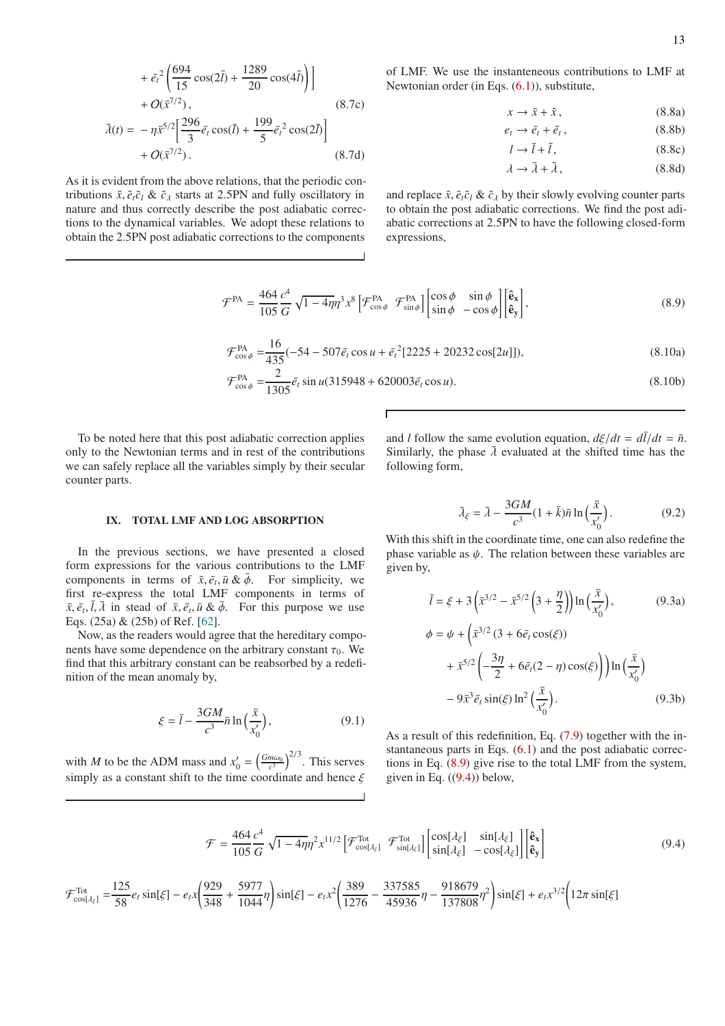$$
+ \bar{e}_t^2 \left( \frac{694}{15} \cos(2\bar{l}) + \frac{1289}{20} \cos(4\bar{l}) \right) + O(\bar{x}^{7/2}), \qquad (8.7c)
$$

$$
\tilde{\lambda}(t) = -\eta \bar{x}^{5/2} \left[ \frac{296}{3} \bar{e}_t \cos(\bar{l}) + \frac{199}{5} \bar{e}_t^2 \cos(2\bar{l}) \right] + O(\bar{x}^{7/2}). \qquad (8.7d)
$$

As it is evident from the above relations, that the periodic contributions  $\tilde{x}$ ,  $\tilde{e}_t \tilde{c}_l \& \tilde{c}_\lambda$  starts at 2.5PN and fully oscillatory in nature and thus correctly describe the post adiabatic corrections to the dynamical variables. We adopt these relations to obtain the 2.5PN post adiabatic corrections to the components

of LMF. We use the instanteneous contributions to LMF at Newtonian order (in Eqs.  $(6.1)$ ), substitute,

$$
x \to \bar{x} + \tilde{x}, \tag{8.8a}
$$

 $e_t \rightarrow \bar{e}_t + \tilde{e}_t$ ,  $(8.8b)$ 

 $l \rightarrow \bar{l} + \tilde{l}$ , (8.8c)

<span id="page-12-1"></span>
$$
\lambda \to \bar{\lambda} + \tilde{\lambda},\tag{8.8d}
$$

and replace  $\tilde{x}$ ,  $\tilde{e}_t \tilde{c}_l \& \tilde{c}_\lambda$  by their slowly evolving counter parts to obtain the post adiabatic corrections. We find the post adiabatic corrections at 2.5PN to have the following closed-form expressions,

$$
\mathcal{F}^{\text{PA}} = \frac{464}{105} \frac{c^4}{G} \sqrt{1 - 4\eta} \eta^3 x^8 \left[ \mathcal{F}_{\cos\phi}^{\text{PA}} \ \mathcal{F}_{\sin\phi}^{\text{PA}} \right] \begin{bmatrix} \cos\phi & \sin\phi \\ \sin\phi & -\cos\phi \end{bmatrix} \begin{bmatrix} \hat{\mathbf{e}}_{\mathbf{x}} \\ \hat{\mathbf{e}}_{\mathbf{y}} \end{bmatrix},\tag{8.9}
$$

$$
\mathcal{F}_{\cos\phi}^{\text{PA}} = \frac{16}{435}(-54 - 507\bar{e}_t\cos u + \bar{e}_t^2[2225 + 20232\cos[2u]]),\tag{8.10a}
$$

$$
\mathcal{F}_{\cos\phi}^{\text{PA}} = \frac{2}{1305} \bar{e}_t \sin u (315948 + 620003 \bar{e}_t \cos u). \tag{8.10b}
$$

To be noted here that this post adiabatic correction applies only to the Newtonian terms and in rest of the contributions we can safely replace all the variables simply by their secular counter parts.

and *l* follow the same evolution equation,  $d\xi/dt = d\overline{l}/dt = \overline{n}$ . Similarly, the phase  $\bar{\lambda}$  evaluated at the shifted time has the following form,

#### <span id="page-12-0"></span>IX. TOTAL LMF AND LOG ABSORPTION

In the previous sections, we have presented a closed form expressions for the various contributions to the LMF components in terms of  $\bar{x}, \bar{e}_t, \bar{u} \& \bar{\phi}$ . For simplicity, we first re-express the total LMF components in terms of  $\bar{x}, \bar{e}_t, \bar{l}, \bar{\lambda}$  in stead of  $\bar{x}, \bar{e}_t, \bar{u} \& \bar{\phi}$ . For this purpose we use Eqs. (25a) & (25b) of Ref. [\[62](#page-18-24)].

Now, as the readers would agree that the hereditary components have some dependence on the arbitrary constant  $\tau_0$ . We find that this arbitrary constant can be reabsorbed by a redefinition of the mean anomaly by,

$$
\xi = \bar{l} - \frac{3GM}{c^3} \bar{n} \ln\left(\frac{\bar{x}}{x'_0}\right),\tag{9.1}
$$

with *M* to be the ADM mass and  $x'_0 = \left(\frac{Gm\omega_0}{c^3}\right)^{2/3}$ . This serves simply as a constant shift to the time coordinate and hence  $\xi$ 

$$
\bar{\lambda}_{\xi} = \bar{\lambda} - \frac{3GM}{c^3} (1 + \bar{k}) \bar{n} \ln \left( \frac{\bar{x}}{x_0'} \right). \tag{9.2}
$$

With this shift in the coordinate time, one can also redefine the phase variable as  $\psi$ . The relation between these variables are given by,

$$
\bar{l} = \xi + 3\left(\bar{x}^{3/2} - \bar{x}^{5/2}\left(3 + \frac{\eta}{2}\right)\right) \ln\left(\frac{\bar{x}}{x'_0}\right),
$$
(9.3a)  

$$
\phi = \psi + \left(\bar{x}^{3/2} (3 + 6\bar{e}_t \cos(\xi))\right)
$$

$$
+ \bar{x}^{5/2} \left(-\frac{3\eta}{2} + 6\bar{e}_t (2 - \eta) \cos(\xi)\right) \ln\left(\frac{\bar{x}}{x'_0}\right)
$$

<span id="page-12-2"></span>
$$
-9\bar{x}^3\bar{e}_t\sin(\xi)\ln^2\left(\frac{\bar{x}}{x'_0}\right). \tag{9.3b}
$$

As a result of this redefinition, Eq. [\(7.9\)](#page-10-1) together with the instantaneous parts in Eqs. [\(6.1\)](#page-7-1) and the post adiabatic corrections in Eq. [\(8.9\)](#page-12-1) give rise to the total LMF from the system, given in Eq.  $((9.4))$  $((9.4))$  $((9.4))$  below,

$$
\mathcal{F} = \frac{464 \, c^4}{105 \, G} \sqrt{1 - 4\eta} \eta^2 x^{11/2} \left[ \mathcal{F}_{\cos[\lambda_{\xi}]}^{\text{Tot}} \ \mathcal{F}_{\sin[\lambda_{\xi}]}^{\text{Tot}} \right] \begin{bmatrix} \cos[\lambda_{\xi}] & \sin[\lambda_{\xi}] \\ \sin[\lambda_{\xi}] & -\cos[\lambda_{\xi}] \end{bmatrix} \begin{bmatrix} \hat{\mathbf{e}}_{\mathbf{x}} \\ \hat{\mathbf{e}}_{\mathbf{y}} \end{bmatrix}
$$
(9.4)

$$
\mathcal{F}^{\text{Tot}}_{\cos[\lambda_{\xi}]} = \frac{125}{58} e_t \sin[\xi] - e_t x \left(\frac{929}{348} + \frac{5977}{1044} \eta\right) \sin[\xi] - e_t x^2 \left(\frac{389}{1276} - \frac{337585}{45936} \eta - \frac{918679}{137808} \eta^2\right) \sin[\xi] + e_t x^{3/2} \left(12\pi \sin[\xi] - \frac{918679}{1276} \eta^2\right) \sin[\xi] + e_t x^{3/2} \left(12\pi \sin[\xi] - \frac{918679}{1276} \eta^2\right) \sin[\xi] + e_t x^{3/2} \left(12\pi \sin[\xi] - \frac{918679}{1276} \eta^2\right) \sin[\xi] + e_t x^{3/2} \left(12\pi \sin[\xi] - \frac{918679}{1276} \eta^2\right) \sin[\xi] + e_t x^{3/2} \left(12\pi \sin[\xi] - \frac{918679}{1276} \eta^2\right) \sin[\xi] + e_t x^{3/2} \left(12\pi \sin[\xi] - \frac{918679}{1276} \eta^2\right) \sin[\xi] + e_t x^{3/2} \left(12\pi \sin[\xi] - \frac{918679}{1276} \eta^2\right) \sin[\xi] + e_t x^{3/2} \left(12\pi \sin[\xi] - \frac{918679}{1276} \eta^2\right) \sin[\xi] + e_t x^{3/2} \left(12\pi \sin[\xi] - \frac{918679}{1276} \eta^2\right) \sin[\xi] + e_t x^{3/2} \left(12\pi \sin[\xi] - \frac{918679}{1276} \eta^2\right) \sin[\xi] + e_t x^{3/2} \left(12\pi \sin[\xi] - \frac{918679}{1276} \eta^2\right) \sin[\xi] + e_t x^{3/2} \left(12\pi \sin[\xi] - \frac{918679}{1276} \eta^2\right) \sin[\xi] + e_t x^{3/2} \left(12\pi \sin[\xi] -
$$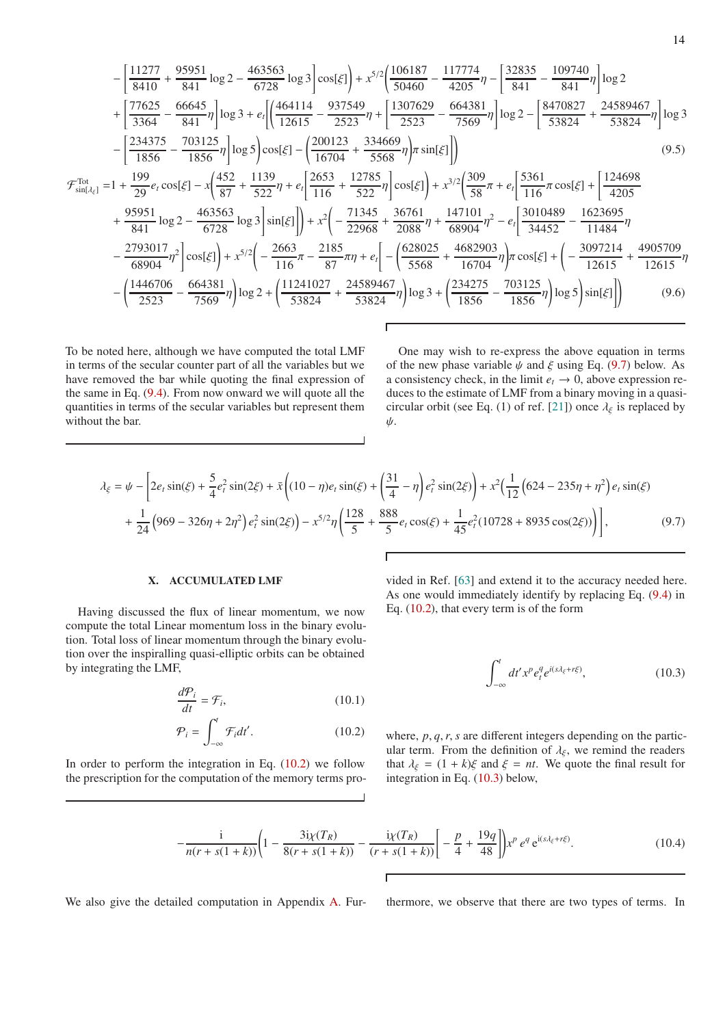$$
-\left[\frac{11277}{8410} + \frac{95951}{841} \log 2 - \frac{463563}{6728} \log 3\right] \cos[\xi]\right) + x^{5/2} \left(\frac{106187}{50460} - \frac{117774}{4205}\right) - \left[\frac{32835}{841} - \frac{109740}{841}\right] \log 2 + \left[\frac{77625}{3364} - \frac{66645}{841}\right] \log 3 + e_i \left[\frac{464114}{12615} - \frac{937549}{2523}\right] + \left[\frac{1307629}{2523} - \frac{664381}{7569}\right] \log 2 - \left[\frac{8470827}{53824} + \frac{24589467}{53824}\right] \log 3 - \left[\frac{234375}{1856} - \frac{703125}{1856}\right] \log 5\right] \cos[\xi] - \left(\frac{200123}{16704} + \frac{334669}{5568}\right) \pi \sin[\xi]\right) \tag{9.5}
$$
  
\n
$$
\mathcal{F}_{\sin[\lambda_{\xi}]}^{tot} = 1 + \frac{199}{29}e_i \cos[\xi] - x \left(\frac{452}{87} + \frac{1139}{522}\eta + e_i \left[\frac{2653}{116} + \frac{12785}{522}\eta\right] \cos[\xi]\right) + x^{3/2} \left(\frac{309}{58}\pi + e_i \left[\frac{5361}{116}\pi \cos[\xi] + \left[\frac{124698}{4205}\right]\right] + \frac{95951}{4841} \log 2 - \frac{463563}{6728} \log 3\right] \sin[\xi]\right) + x^2 \left(-\frac{71345}{22968} + \frac{36761}{2088}\eta + \frac{147101}{68904}\eta^2 - e_i \left[\frac{3010489}{34452} - \frac{1623695}{11484}\eta\right] - \frac{2793017}{68904
$$

To be noted here, although we have computed the total LMF in terms of the secular counter part of all the variables but we have removed the bar while quoting the final expression of the same in Eq. [\(9.4\)](#page-12-2). From now onward we will quote all the quantities in terms of the secular variables but represent them without the bar.

One may wish to re-express the above equation in terms of the new phase variable  $\psi$  and  $\xi$  using Eq. [\(9.7\)](#page-13-1) below. As a consistency check, in the limit  $e_t \rightarrow 0$ , above expression reduces to the estimate of LMF from a binary moving in a quasi-circular orbit (see Eq. (1) of ref. [\[21](#page-17-18)]) once  $\lambda_{\xi}$  is replaced by ψ.

$$
\lambda_{\xi} = \psi - \left[ 2e_t \sin(\xi) + \frac{5}{4} e_t^2 \sin(2\xi) + \bar{x} \left( (10 - \eta)e_t \sin(\xi) + \left( \frac{31}{4} - \eta \right) e_t^2 \sin(2\xi) \right) + x^2 \left( \frac{1}{12} \left( 624 - 235\eta + \eta^2 \right) e_t \sin(\xi) \right) \right] + \frac{1}{24} \left( 969 - 326\eta + 2\eta^2 \right) e_t^2 \sin(2\xi) - x^{5/2} \eta \left( \frac{128}{5} + \frac{888}{5} e_t \cos(\xi) + \frac{1}{45} e_t^2 (10728 + 8935 \cos(2\xi)) \right) \right],
$$
\n(9.7)

#### <span id="page-13-0"></span>X. ACCUMULATED LMF

Having discussed the flux of linear momentum, we now compute the total Linear momentum loss in the binary evolution. Total loss of linear momentum through the binary evolution over the inspiralling quasi-elliptic orbits can be obtained by integrating the LMF,

$$
\frac{d\mathcal{P}_i}{dt} = \mathcal{F}_i,\tag{10.1}
$$

$$
\mathcal{P}_i = \int_{-\infty}^t \mathcal{F}_i dt'.
$$
 (10.2)

In order to perform the integration in Eq.  $(10.2)$  we follow the prescription for the computation of the memory terms pro-

vided in Ref. [\[63](#page-18-25)] and extend it to the accuracy needed here. As one would immediately identify by replacing Eq. [\(9.4\)](#page-12-2) in Eq. [\(10.2\)](#page-13-2), that every term is of the form

<span id="page-13-3"></span><span id="page-13-1"></span>
$$
\int_{-\infty}^{t} dt' x^p e_t^q e^{i(s\lambda_\xi + r\xi)}, \tag{10.3}
$$

<span id="page-13-2"></span>where, *p*, *q*,*r*, *s* are different integers depending on the particular term. From the definition of  $\lambda_{\xi}$ , we remind the readers that  $\lambda_{\xi} = (1 + k)\xi$  and  $\xi = nt$ . We quote the final result for integration in Eq. [\(10.3\)](#page-13-3) below,

$$
-\frac{i}{n(r+s(1+k))}\left(1-\frac{3i\chi(T_R)}{8(r+s(1+k))}-\frac{i\chi(T_R)}{(r+s(1+k))}\right]-\frac{p}{4}+\frac{19q}{48}\right)x^p e^q e^{i(s\lambda_{\xi}+r\xi)}.
$$
(10.4)

We also give the detailed computation in Appendix [A.](#page-15-0) Fur-<br>thermore, we observe that there are two types of terms. In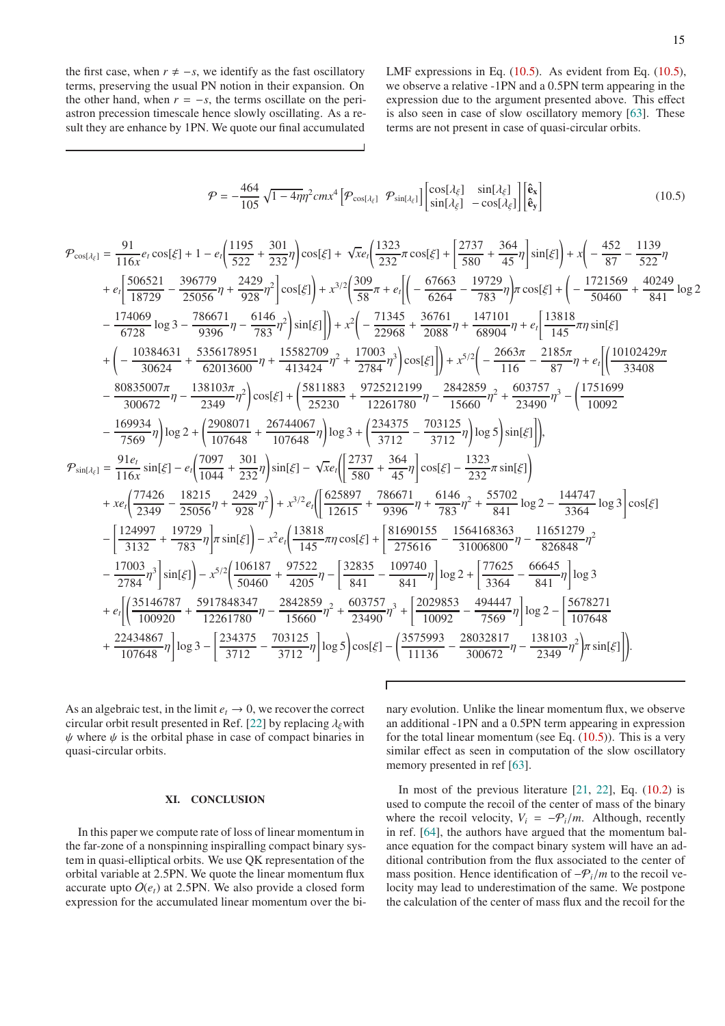the first case, when  $r \neq -s$ , we identify as the fast oscillatory terms, preserving the usual PN notion in their expansion. On the other hand, when  $r = -s$ , the terms oscillate on the periastron precession timescale hence slowly oscillating. As a result they are enhance by 1PN. We quote our final accumulated

<span id="page-14-0"></span>LMF expressions in Eq. [\(10.5\)](#page-14-0). As evident from Eq. [\(10.5\)](#page-14-0), we observe a relative -1PN and a 0.5PN term appearing in the expression due to the argument presented above. This effect is also seen in case of slow oscillatory memory [\[63](#page-18-25)]. These terms are not present in case of quasi-circular orbits.

$$
\mathcal{P} = -\frac{464}{105} \sqrt{1 - 4\eta} \eta^2 c m x^4 \left[ \mathcal{P}_{\cos[\lambda_{\xi}]} \ \mathcal{P}_{\sin[\lambda_{\xi}]} \right] \begin{bmatrix} \cos[\lambda_{\xi}] & \sin[\lambda_{\xi}] \\ \sin[\lambda_{\xi}] & -\cos[\lambda_{\xi}] \end{bmatrix} \begin{bmatrix} \hat{\mathbf{e}}_{\mathbf{x}} \\ \hat{\mathbf{e}}_{\mathbf{y}} \end{bmatrix}
$$
(10.5)

$$
\mathcal{P}_{\cos[A_{\xi}]} = \frac{91}{116x}e_{i}\cos[\xi] + 1 - e_{i}\left(\frac{1195}{522} + \frac{301}{232}\eta\right)\cos[\xi] + \sqrt{x}e_{i}\left(\frac{1323}{232}\pi\cos[\xi] + \frac{2737}{880} + \frac{364}{45}\eta\right)\sin[\xi]\right) + x\left(-\frac{452}{87} - \frac{1139}{522}\eta\right)
$$
  
\n
$$
+ e_{i}\left[\frac{506521}{18729} - \frac{396779}{25056}\eta + \frac{2429}{928}\eta^2\right]\cos[\xi]\right) + x^{3/2}\left(\frac{309}{58}\pi + e_{i}\left[\left(-\frac{67663}{6264} - \frac{19729}{783}\eta\right)\pi\cos[\xi] + \left(-\frac{1721569}{50460} + \frac{40249}{841}\log 2)\right]\right)
$$
  
\n
$$
- \frac{174069}{6728}\log 3 - \frac{786671}{9396}\eta - \frac{6146}{783}\eta^2\right)\sin[\xi]\right) + x^2\left(-\frac{21345}{22968} + \frac{36761}{2088}\eta + \frac{147101}{68904}\eta + e_{i}\left[\frac{13818}{145}\pi\eta\sin[\xi]\right]
$$
  
\n
$$
+ \left(-\frac{10384631}{300672}\eta - \frac{138103\pi}{62013600}\eta + \frac{15582709}{413424}\eta^2 + \frac{17003}{2784}\eta^3\right)\cos[\xi]\right) + x^{5/2}\left(-\frac{2663\pi}{116} - \frac{2185\pi}{87}\eta + e_{i}\left[\frac{(10102429\pi)}{10092}\right]
$$
  
\n
$$
- \frac{80835007\pi}{300672}\eta - \frac{138103\pi}{2349}\eta^2\right)\cos[\xi] + \left(\frac{581188
$$

As an algebraic test, in the limit  $e_t \to 0$ , we recover the correct circular orbit result presented in Ref. [\[22](#page-17-19)] by replacing  $\lambda_{\xi}$  with  $\psi$  where  $\psi$  is the orbital phase in case of compact binaries in quasi-circular orbits.

#### XI. CONCLUSION

In this paper we compute rate of loss of linear momentum in the far-zone of a nonspinning inspiralling compact binary system in quasi-elliptical orbits. We use QK representation of the orbital variable at 2.5PN. We quote the linear momentum flux accurate upto  $O(e_t)$  at 2.5PN. We also provide a closed form expression for the accumulated linear momentum over the binary evolution. Unlike the linear momentum flux, we observe an additional -1PN and a 0.5PN term appearing in expression for the total linear momentum (see Eq.  $(10.5)$ ). This is a very similar effect as seen in computation of the slow oscillatory memory presented in ref [\[63\]](#page-18-25).

In most of the previous literature  $[21, 22]$  $[21, 22]$ , Eq.  $(10.2)$  is used to compute the recoil of the center of mass of the binary where the recoil velocity,  $V_i = -P_i/m$ . Although, recently in ref. [\[64\]](#page-18-26), the authors have argued that the momentum balance equation for the compact binary system will have an additional contribution from the flux associated to the center of mass position. Hence identification of −P*i*/*m* to the recoil velocity may lead to underestimation of the same. We postpone the calculation of the center of mass flux and the recoil for the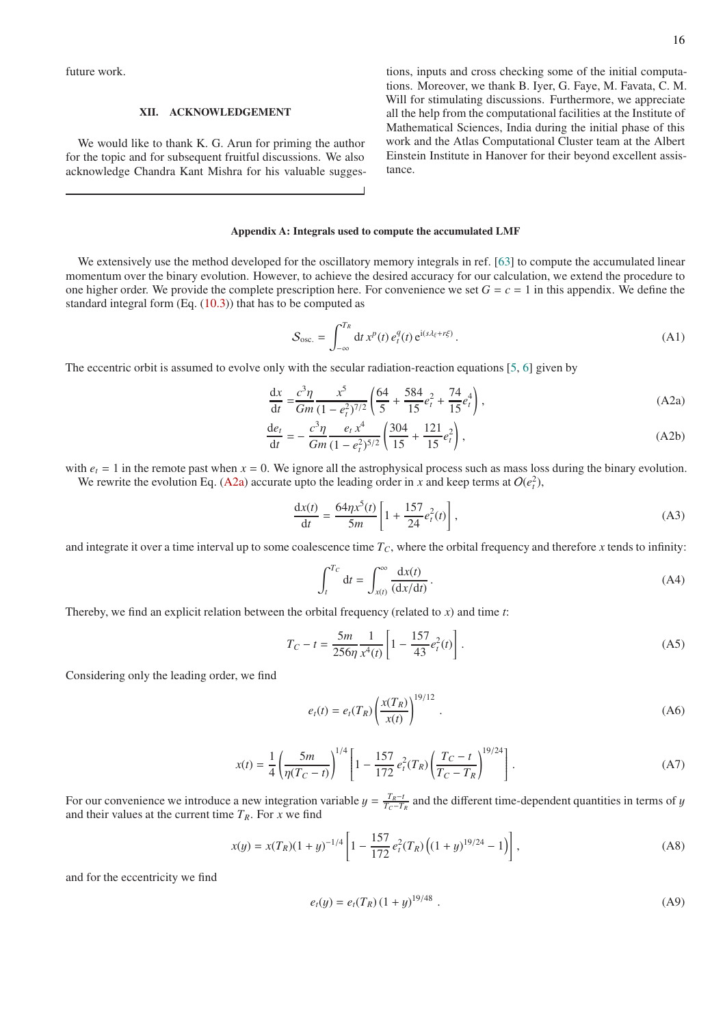future work.

## XII. ACKNOWLEDGEMENT

We would like to thank K. G. Arun for priming the author for the topic and for subsequent fruitful discussions. We also acknowledge Chandra Kant Mishra for his valuable suggestions, inputs and cross checking some of the initial computations. Moreover, we thank B. Iyer, G. Faye, M. Favata, C. M. Will for stimulating discussions. Furthermore, we appreciate all the help from the computational facilities at the Institute of Mathematical Sciences, India during the initial phase of this work and the Atlas Computational Cluster team at the Albert Einstein Institute in Hanover for their beyond excellent assistance.

#### <span id="page-15-0"></span>Appendix A: Integrals used to compute the accumulated LMF

We extensively use the method developed for the oscillatory memory integrals in ref. [\[63\]](#page-18-25) to compute the accumulated linear momentum over the binary evolution. However, to achieve the desired accuracy for our calculation, we extend the procedure to one higher order. We provide the complete prescription here. For convenience we set  $G = c = 1$  in this appendix. We define the standard integral form  $(Eq. (10.3))$  $(Eq. (10.3))$  $(Eq. (10.3))$  that has to be computed as

<span id="page-15-4"></span><span id="page-15-1"></span>
$$
S_{\rm osc.} = \int_{-\infty}^{T_R} \mathrm{d}t \, x^p(t) \, e_t^q(t) \, e^{i(s \lambda_\xi + r\xi)} \,. \tag{A1}
$$

The eccentric orbit is assumed to evolve only with the secular radiation-reaction equations [\[5](#page-17-4), [6](#page-17-5)] given by

$$
\frac{dx}{dt} = \frac{c^3 \eta}{Gm} \frac{x^5}{(1 - e_t^2)^{7/2}} \left( \frac{64}{5} + \frac{584}{15} e_t^2 + \frac{74}{15} e_t^4 \right),\tag{A2a}
$$

$$
\frac{de_t}{dt} = -\frac{c^3 \eta}{Gm} \frac{e_t x^4}{(1 - e_t^2)^{5/2}} \left( \frac{304}{15} + \frac{121}{15} e_t^2 \right),\tag{A2b}
$$

with  $e_t = 1$  in the remote past when  $x = 0$ . We ignore all the astrophysical process such as mass loss during the binary evolution. We rewrite the evolution Eq. [\(A2a\)](#page-15-1) accurate upto the leading order in *x* and keep terms at  $O(e_i^2)$ ,

$$
\frac{dx(t)}{dt} = \frac{64\eta x^5(t)}{5m} \left[ 1 + \frac{157}{24} e_t^2(t) \right],
$$
\n(A3)

and integrate it over a time interval up to some coalescence time  $T_c$ , where the orbital frequency and therefore *x* tends to infinity:

$$
\int_{t}^{T_C} \mathrm{d}t = \int_{x(t)}^{\infty} \frac{\mathrm{d}x(t)}{(\mathrm{d}x/\mathrm{d}t)} \,. \tag{A4}
$$

Thereby, we find an explicit relation between the orbital frequency (related to *x*) and time *t*:

$$
T_C - t = \frac{5m}{256\eta} \frac{1}{x^4(t)} \left[ 1 - \frac{157}{43} e_t^2(t) \right].
$$
 (A5)

Considering only the leading order, we find

$$
e_t(t) = e_t(T_R) \left(\frac{x(T_R)}{x(t)}\right)^{19/12}.
$$
 (A6)

$$
x(t) = \frac{1}{4} \left( \frac{5m}{\eta(T_C - t)} \right)^{1/4} \left[ 1 - \frac{157}{172} e_t^2(T_R) \left( \frac{T_C - t}{T_C - T_R} \right)^{19/24} \right].
$$
 (A7)

For our convenience we introduce a new integration variable  $y = \frac{T_R - t}{T_C - T_R}$  and the different time-dependent quantities in terms of y and their values at the current time  $T_R$ . For *x* we find

$$
x(y) = x(T_R)(1+y)^{-1/4} \left[ 1 - \frac{157}{172} e_t^2(T_R) \left( (1+y)^{19/24} - 1 \right) \right],
$$
 (A8)

and for the eccentricity we find

<span id="page-15-3"></span><span id="page-15-2"></span>
$$
e_t(y) = e_t(T_R)(1+y)^{19/48} . \tag{A9}
$$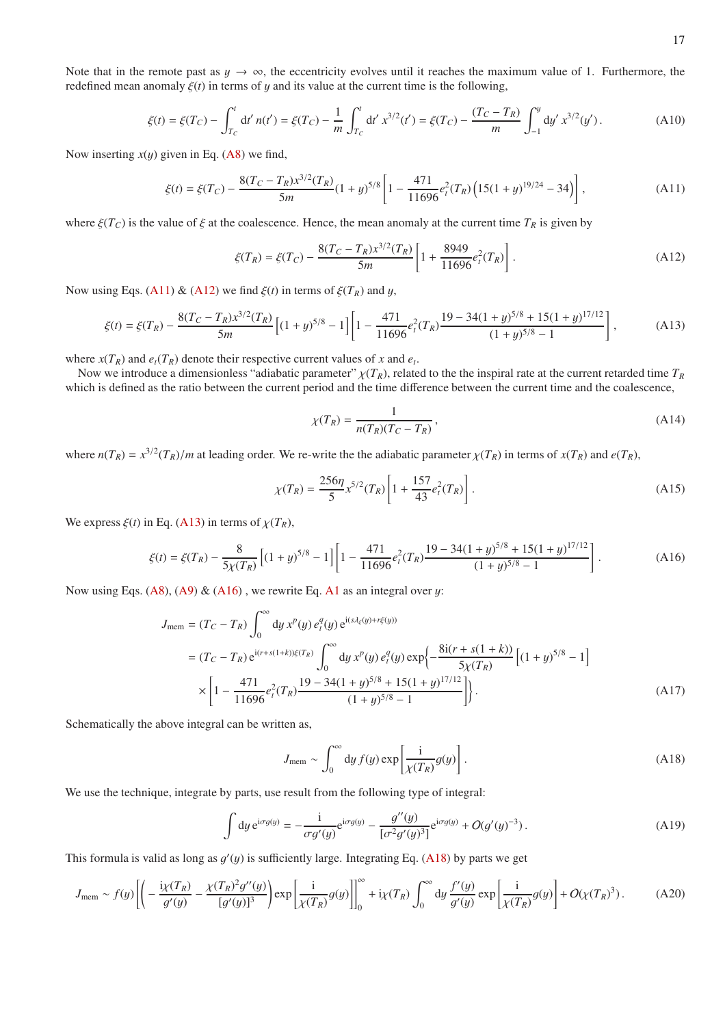Note that in the remote past as  $y \to \infty$ , the eccentricity evolves until it reaches the maximum value of 1. Furthermore, the redefined mean anomaly  $\xi(t)$  in terms of y and its value at the current time is the following,

$$
\xi(t) = \xi(T_C) - \int_{T_C}^t dt' \, n(t') = \xi(T_C) - \frac{1}{m} \int_{T_C}^t dt' \, x^{3/2}(t') = \xi(T_C) - \frac{(T_C - T_R)}{m} \int_{-1}^y dy' \, x^{3/2}(y') \,. \tag{A10}
$$

Now inserting  $x(y)$  given in Eq. [\(A8\)](#page-15-2) we find,

$$
\xi(t) = \xi(T_C) - \frac{8(T_C - T_R)x^{3/2}(T_R)}{5m}(1+y)^{5/8} \left[1 - \frac{471}{11696}e_t^2(T_R)\left(15(1+y)^{19/24} - 34\right)\right],\tag{A11}
$$

where  $\xi(T_C)$  is the value of  $\xi$  at the coalescence. Hence, the mean anomaly at the current time  $T_R$  is given by

$$
\xi(T_R) = \xi(T_C) - \frac{8(T_C - T_R)x^{3/2}(T_R)}{5m} \left[ 1 + \frac{8949}{11696} e_t^2(T_R) \right].
$$
\n(A12)

Now using Eqs. [\(A11\)](#page-16-0) & [\(A12\)](#page-16-1) we find  $\xi(t)$  in terms of  $\xi(T_R)$  and y,

$$
\xi(t) = \xi(T_R) - \frac{8(T_C - T_R)x^{3/2}(T_R)}{5m} \left[ (1+y)^{5/8} - 1 \right] \left[ 1 - \frac{471}{11696} e_t^2(T_R) \frac{19 - 34(1+y)^{5/8} + 15(1+y)^{17/12}}{(1+y)^{5/8} - 1} \right],\tag{A13}
$$

where  $x(T_R)$  and  $e_t(T_R)$  denote their respective current values of *x* and  $e_t$ .

Now we introduce a dimensionless "adiabatic parameter"  $\chi(T_R)$ , related to the the inspiral rate at the current retarded time  $T_R$ which is defined as the ratio between the current period and the time difference between the current time and the coalescence,

<span id="page-16-3"></span><span id="page-16-2"></span><span id="page-16-1"></span><span id="page-16-0"></span>
$$
\chi(T_R) = \frac{1}{n(T_R)(T_C - T_R)},\tag{A14}
$$

where  $n(T_R) = x^{3/2} (T_R)/m$  at leading order. We re-write the the adiabatic parameter  $\chi(T_R)$  in terms of  $x(T_R)$  and  $e(T_R)$ ,

$$
\chi(T_R) = \frac{256\eta}{5} x^{5/2} (T_R) \left[ 1 + \frac{157}{43} e_t^2 (T_R) \right].
$$
\n(A15)

We express  $\xi(t)$  in Eq. [\(A13\)](#page-16-2) in terms of  $\chi(T_R)$ ,

$$
\xi(t) = \xi(T_R) - \frac{8}{5\chi(T_R)} \left[ (1+y)^{5/8} - 1 \right] \left[ 1 - \frac{471}{11696} e_t^2(T_R) \frac{19 - 34(1+y)^{5/8} + 15(1+y)^{17/12}}{(1+y)^{5/8} - 1} \right].
$$
 (A16)

Now using Eqs. [\(A8\)](#page-15-2), [\(A9\)](#page-15-3)  $\&$  [\(A16\)](#page-16-3), we rewrite Eq. [A1](#page-15-4) as an integral over y:

$$
J_{\text{mem}} = (T_C - T_R) \int_0^\infty dy \, x^p(y) \, e_t^q(y) \, e^{i(s \lambda_\xi(y) + r\xi(y))}
$$
\n
$$
= (T_C - T_R) \, e^{i(r+s(1+k))\xi(T_R)} \int_0^\infty dy \, x^p(y) \, e_t^q(y) \exp\left\{-\frac{8i(r+s(1+k))}{5\chi(T_R)} \left[(1+y)^{5/8} - 1\right]\right\}
$$
\n
$$
\times \left[1 - \frac{471}{11696} e_t^2(T_R) \frac{19 - 34(1+y)^{5/8} + 15(1+y)^{17/12}}{(1+y)^{5/8} - 1}\right]\right\}.
$$
\n(A17)

Schematically the above integral can be written as,

<span id="page-16-4"></span>
$$
J_{\text{mem}} \sim \int_0^\infty dy \, f(y) \exp\left[\frac{i}{\chi(T_R)} g(y)\right]. \tag{A18}
$$

We use the technique, integrate by parts, use result from the following type of integral:

$$
\int dy e^{i\sigma g(y)} = -\frac{i}{\sigma g'(y)} e^{i\sigma g(y)} - \frac{g''(y)}{[\sigma^2 g'(y)^3]} e^{i\sigma g(y)} + O(g'(y)^{-3}).
$$
\n(A19)

This formula is valid as long as  $g'(y)$  is sufficiently large. Integrating Eq. [\(A18\)](#page-16-4) by parts we get

$$
J_{\text{mem}} \sim f(y) \left[ \left( -\frac{\mathrm{i}\chi(T_R)}{g'(y)} - \frac{\chi(T_R)^2 g''(y)}{[g'(y)]^3} \right) \exp\left[ \frac{\mathrm{i}}{\chi(T_R)} g(y) \right] \right]_0^{\infty} + \mathrm{i}\chi(T_R) \int_0^{\infty} \mathrm{d}y \, \frac{f'(y)}{g'(y)} \exp\left[ \frac{\mathrm{i}}{\chi(T_R)} g(y) \right] + O(\chi(T_R)^3). \tag{A20}
$$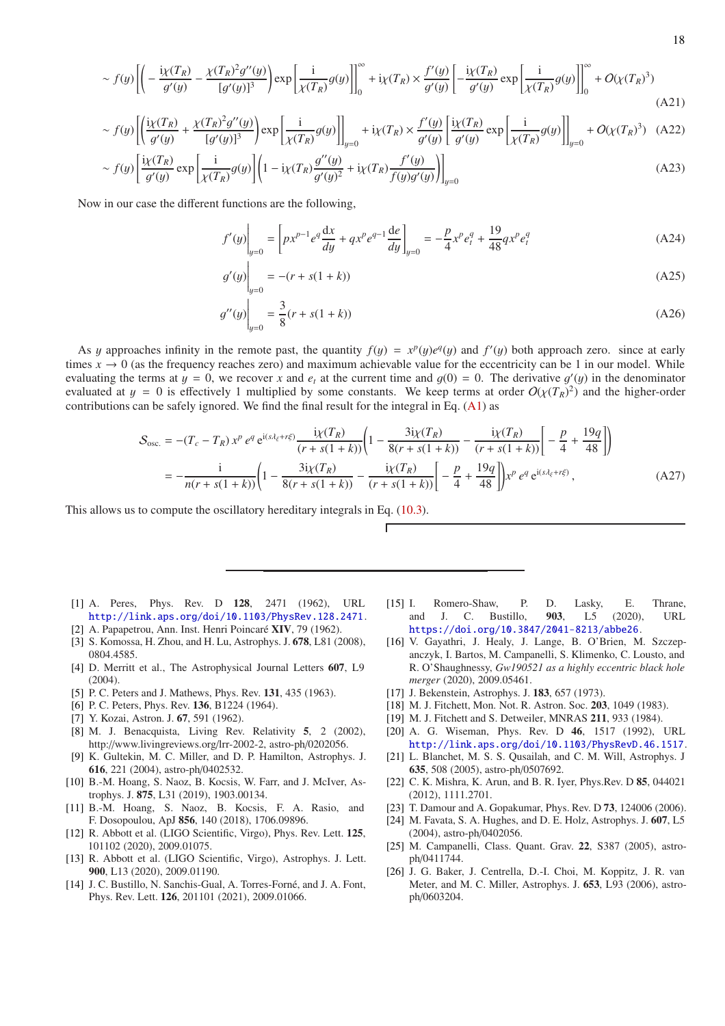$$
\sim f(y)\left[\left(-\frac{\mathrm{i}\chi(T_R)}{g'(y)} - \frac{\chi(T_R)^2 g''(y)}{[g'(y)]^3}\right)\exp\left[\frac{\mathrm{i}}{\chi(T_R)}g(y)\right]\right]_0^\infty + \mathrm{i}\chi(T_R) \times \frac{f'(y)}{g'(y)}\left[-\frac{\mathrm{i}\chi(T_R)}{g'(y)}\exp\left[\frac{\mathrm{i}}{\chi(T_R)}g(y)\right]\right]_0^\infty + O(\chi(T_R)^3) \tag{A21}
$$

$$
\sim f(y)\left[\left(\frac{i\chi(T_R)}{g'(y)} + \frac{\chi(T_R)^2 g''(y)}{[g'(y)]^3}\right) \exp\left[\frac{i}{\chi(T_R)}g(y)\right]\right]_{y=0} + i\chi(T_R) \times \frac{f'(y)}{g'(y)}\left[\frac{i\chi(T_R)}{g'(y)} \exp\left[\frac{i}{\chi(T_R)}g(y)\right]\right]_{y=0} + O(\chi(T_R)^3) \quad \text{(A22)}
$$

$$
\sim f(y)\left[\frac{\mathrm{i}\chi(T_R)}{g'(y)}\exp\left[\frac{\mathrm{i}}{\chi(T_R)}g(y)\right]\left(1-\mathrm{i}\chi(T_R)\frac{g''(y)}{g'(y)^2}+\mathrm{i}\chi(T_R)\frac{f'(y)}{f(y)g'(y)}\right)\right]_{y=0} \tag{A23}
$$

Now in our case the different functions are the following,

$$
f'(y)\Big|_{y=0} = \left[px^{p-1}e^q\frac{dx}{dy} + qx^pe^{q-1}\frac{de}{dy}\right]_{y=0} = -\frac{p}{4}x^pe_i^q + \frac{19}{48}qx^pe_i^q
$$
 (A24)

$$
g'(y)\Big|_{y=0} = -(r + s(1+k))
$$
\n(A25)

$$
g''(y)\Big|_{y=0} = \frac{3}{8}(r + s(1+k))
$$
\n(A26)

As y approaches infinity in the remote past, the quantity  $f(y) = x^p(y)e^q(y)$  and  $f'(y)$  both approach zero. since at early times  $x \to 0$  (as the frequency reaches zero) and maximum achievable value for the eccentricity can be 1 in our model. While evaluating the terms at  $y = 0$ , we recover x and  $e_t$  at the current time and  $g(0) = 0$ . The derivative  $g'(y)$  in the denominator evaluated at  $y = 0$  is effectively 1 multiplied by some constants. We keep terms at order  $O(\chi(T_R)^2)$  and the higher-order contributions can be safely ignored. We find the final result for the integral in Eq. [\(A1\)](#page-15-4) as

$$
S_{\text{osc.}} = -(T_c - T_R) x^p e^q e^{i(s\lambda_{\xi} + r\xi)} \frac{i\chi(T_R)}{(r + s(1 + k))} \left(1 - \frac{3i\chi(T_R)}{8(r + s(1 + k))} - \frac{i\chi(T_R)}{(r + s(1 + k))} \right) \left[-\frac{p}{4} + \frac{19q}{48}\right] \right)
$$
  
= 
$$
-\frac{i}{n(r + s(1 + k))} \left(1 - \frac{3i\chi(T_R)}{8(r + s(1 + k))} - \frac{i\chi(T_R)}{(r + s(1 + k))} \right) \left[-\frac{p}{4} + \frac{19q}{48}\right] x^p e^q e^{i(s\lambda_{\xi} + r\xi)},
$$
(A27)

This allows us to compute the oscillatory hereditary integrals in Eq. [\(10.3\)](#page-13-3).

- <span id="page-17-0"></span>[1] A. Peres, Phys. Rev. D 128, 2471 (1962), URL <http://link.aps.org/doi/10.1103/PhysRev.128.2471>.
- <span id="page-17-1"></span>[2] A. Papapetrou, Ann. Inst. Henri Poincaré XIV, 79 (1962).
- <span id="page-17-2"></span>[3] S. Komossa, H. Zhou, and H. Lu, Astrophys. J. 678, L81 (2008), 0804.4585.
- <span id="page-17-3"></span>[4] D. Merritt et al., The Astrophysical Journal Letters 607, L9  $(2004)$ .
- <span id="page-17-4"></span>[5] P. C. Peters and J. Mathews, Phys. Rev. 131, 435 (1963).
- <span id="page-17-5"></span>[6] P. C. Peters, Phys. Rev. **136**, B1224 (1964).
- <span id="page-17-6"></span>[7] Y. Kozai, Astron. J. 67, 591 (1962).
- <span id="page-17-7"></span>[8] M. J. Benacquista, Living Rev. Relativity 5, 2 (2002), http://www.livingreviews.org/lrr-2002-2, astro-ph/0202056.
- <span id="page-17-8"></span>[9] K. Gultekin, M. C. Miller, and D. P. Hamilton, Astrophys. J. 616, 221 (2004), astro-ph/0402532.
- [10] B.-M. Hoang, S. Naoz, B. Kocsis, W. Farr, and J. McIver, Astrophys. J. 875, L31 (2019), 1903.00134.
- <span id="page-17-9"></span>[11] B.-M. Hoang, S. Naoz, B. Kocsis, F. A. Rasio, and F. Dosopoulou, ApJ 856, 140 (2018), 1706.09896.
- <span id="page-17-10"></span>[12] R. Abbott et al. (LIGO Scientific, Virgo), Phys. Rev. Lett. 125, 101102 (2020), 2009.01075.
- <span id="page-17-11"></span>[13] R. Abbott et al. (LIGO Scientific, Virgo), Astrophys. J. Lett. 900, L13 (2020), 2009.01190.
- <span id="page-17-12"></span>[14] J. C. Bustillo, N. Sanchis-Gual, A. Torres-Forné, and J. A. Font, Phys. Rev. Lett. 126, 201101 (2021), 2009.01066.
- [15] I. Romero-Shaw, P. D. Lasky, E. Thrane, and J. C. Bustillo, 903, L5 (2020), URL <https://doi.org/10.3847/2041-8213/abbe26>.
- <span id="page-17-13"></span>[16] V. Gayathri, J. Healy, J. Lange, B. O'Brien, M. Szczepanczyk, I. Bartos, M. Campanelli, S. Klimenko, C. Lousto, and R. O'Shaughnessy, *Gw190521 as a highly eccentric black hole merger* (2020), 2009.05461.
- <span id="page-17-14"></span>[17] J. Bekenstein, Astrophys. J. **183**, 657 (1973).
- <span id="page-17-15"></span>[18] M. J. Fitchett, Mon. Not. R. Astron. Soc. 203, 1049 (1983).
- <span id="page-17-16"></span>[19] M. J. Fitchett and S. Detweiler, MNRAS 211, 933 (1984).
- <span id="page-17-17"></span>[20] A. G. Wiseman, Phys. Rev. D 46, 1517 (1992), URL <http://link.aps.org/doi/10.1103/PhysRevD.46.1517>.
- <span id="page-17-18"></span>[21] L. Blanchet, M. S. S. Qusailah, and C. M. Will, Astrophys. J 635, 508 (2005), astro-ph/0507692.
- <span id="page-17-19"></span>[22] C. K. Mishra, K. Arun, and B. R. Iyer, Phys.Rev. D 85, 044021 (2012), 1111.2701.
- <span id="page-17-20"></span>[23] T. Damour and A. Gopakumar, Phys. Rev. D 73, 124006 (2006).
- <span id="page-17-21"></span>[24] M. Favata, S. A. Hughes, and D. E. Holz, Astrophys. J. 607, L5 (2004), astro-ph/0402056.
- <span id="page-17-22"></span>[25] M. Campanelli, Class. Quant. Grav. 22, S387 (2005), astroph/0411744.
- [26] J. G. Baker, J. Centrella, D.-I. Choi, M. Koppitz, J. R. van Meter, and M. C. Miller, Astrophys. J. 653, L93 (2006), astroph/0603204.